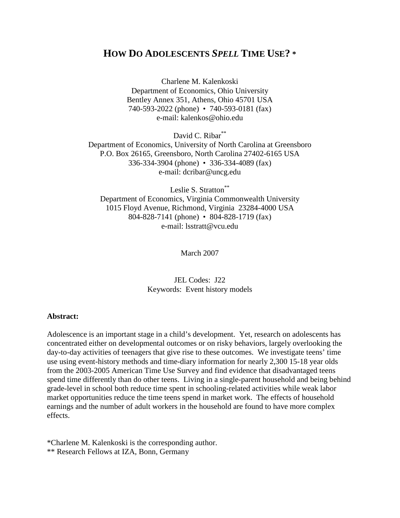# **HOW DO ADOLESCENTS** *SPELL* **TIME USE? \***

Charlene M. Kalenkoski Department of Economics, Ohio University Bentley Annex 351, Athens, Ohio 45701 USA 740-593-2022 (phone) • 740-593-0181 (fax) e-mail: kalenkos@ohio.edu

David C. Ribar\*\* Department of Economics, University of North Carolina at Greensboro P.O. Box 26165, Greensboro, North Carolina 27402-6165 USA 336-334-3904 (phone) • 336-334-4089 (fax) e-mail: dcribar@uncg.edu

Leslie S. Stratton\*\* Department of Economics, Virginia Commonwealth University 1015 Floyd Avenue, Richmond, Virginia 23284-4000 USA 804-828-7141 (phone) • 804-828-1719 (fax) e-mail: lsstratt@vcu.edu

March 2007

JEL Codes: J22 Keywords: Event history models

#### **Abstract:**

Adolescence is an important stage in a child's development. Yet, research on adolescents has concentrated either on developmental outcomes or on risky behaviors, largely overlooking the day-to-day activities of teenagers that give rise to these outcomes. We investigate teens' time use using event-history methods and time-diary information for nearly 2,300 15-18 year olds from the 2003-2005 American Time Use Survey and find evidence that disadvantaged teens spend time differently than do other teens. Living in a single-parent household and being behind grade-level in school both reduce time spent in schooling-related activities while weak labor market opportunities reduce the time teens spend in market work. The effects of household earnings and the number of adult workers in the household are found to have more complex effects.

\*Charlene M. Kalenkoski is the corresponding author.

\*\* Research Fellows at IZA, Bonn, Germany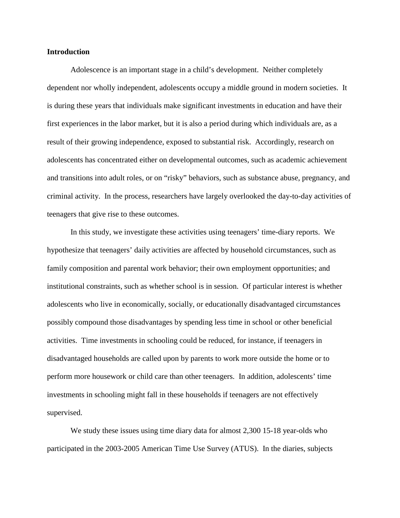#### **Introduction**

 Adolescence is an important stage in a child's development. Neither completely dependent nor wholly independent, adolescents occupy a middle ground in modern societies. It is during these years that individuals make significant investments in education and have their first experiences in the labor market, but it is also a period during which individuals are, as a result of their growing independence, exposed to substantial risk. Accordingly, research on adolescents has concentrated either on developmental outcomes, such as academic achievement and transitions into adult roles, or on "risky" behaviors, such as substance abuse, pregnancy, and criminal activity. In the process, researchers have largely overlooked the day-to-day activities of teenagers that give rise to these outcomes.

 In this study, we investigate these activities using teenagers' time-diary reports. We hypothesize that teenagers' daily activities are affected by household circumstances, such as family composition and parental work behavior; their own employment opportunities; and institutional constraints, such as whether school is in session. Of particular interest is whether adolescents who live in economically, socially, or educationally disadvantaged circumstances possibly compound those disadvantages by spending less time in school or other beneficial activities. Time investments in schooling could be reduced, for instance, if teenagers in disadvantaged households are called upon by parents to work more outside the home or to perform more housework or child care than other teenagers. In addition, adolescents' time investments in schooling might fall in these households if teenagers are not effectively supervised.

 We study these issues using time diary data for almost 2,300 15-18 year-olds who participated in the 2003-2005 American Time Use Survey (ATUS). In the diaries, subjects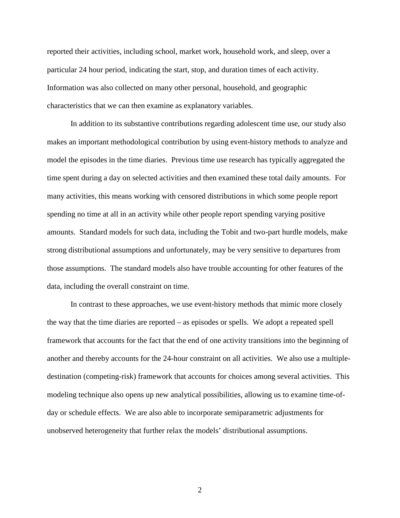reported their activities, including school, market work, household work, and sleep, over a particular 24 hour period, indicating the start, stop, and duration times of each activity. Information was also collected on many other personal, household, and geographic characteristics that we can then examine as explanatory variables.

 In addition to its substantive contributions regarding adolescent time use, our study also makes an important methodological contribution by using event-history methods to analyze and model the episodes in the time diaries. Previous time use research has typically aggregated the time spent during a day on selected activities and then examined these total daily amounts. For many activities, this means working with censored distributions in which some people report spending no time at all in an activity while other people report spending varying positive amounts. Standard models for such data, including the Tobit and two-part hurdle models, make strong distributional assumptions and unfortunately, may be very sensitive to departures from those assumptions. The standard models also have trouble accounting for other features of the data, including the overall constraint on time.

In contrast to these approaches, we use event-history methods that mimic more closely the way that the time diaries are reported – as episodes or spells. We adopt a repeated spell framework that accounts for the fact that the end of one activity transitions into the beginning of another and thereby accounts for the 24-hour constraint on all activities. We also use a multipledestination (competing-risk) framework that accounts for choices among several activities. This modeling technique also opens up new analytical possibilities, allowing us to examine time-ofday or schedule effects. We are also able to incorporate semiparametric adjustments for unobserved heterogeneity that further relax the models' distributional assumptions.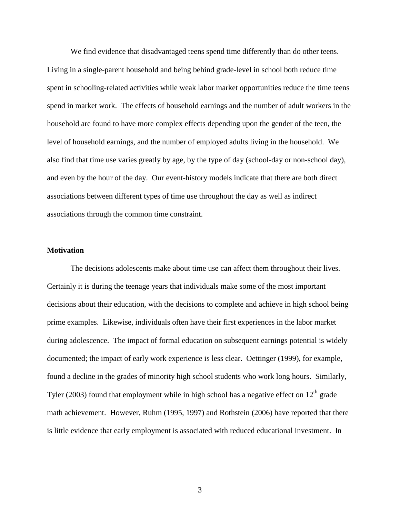We find evidence that disadvantaged teens spend time differently than do other teens. Living in a single-parent household and being behind grade-level in school both reduce time spent in schooling-related activities while weak labor market opportunities reduce the time teens spend in market work. The effects of household earnings and the number of adult workers in the household are found to have more complex effects depending upon the gender of the teen, the level of household earnings, and the number of employed adults living in the household. We also find that time use varies greatly by age, by the type of day (school-day or non-school day), and even by the hour of the day. Our event-history models indicate that there are both direct associations between different types of time use throughout the day as well as indirect associations through the common time constraint.

#### **Motivation**

The decisions adolescents make about time use can affect them throughout their lives. Certainly it is during the teenage years that individuals make some of the most important decisions about their education, with the decisions to complete and achieve in high school being prime examples. Likewise, individuals often have their first experiences in the labor market during adolescence. The impact of formal education on subsequent earnings potential is widely documented; the impact of early work experience is less clear. Oettinger (1999), for example, found a decline in the grades of minority high school students who work long hours. Similarly, Tyler (2003) found that employment while in high school has a negative effect on  $12<sup>th</sup>$  grade math achievement. However, Ruhm (1995, 1997) and Rothstein (2006) have reported that there is little evidence that early employment is associated with reduced educational investment. In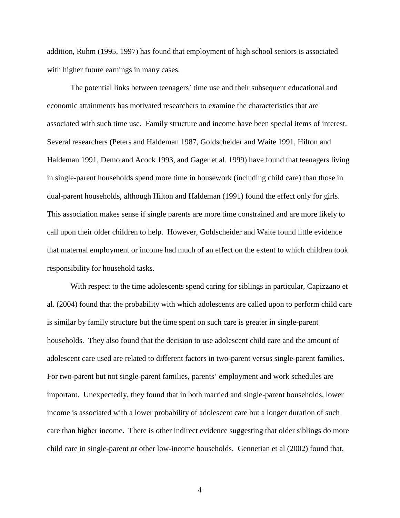addition, Ruhm (1995, 1997) has found that employment of high school seniors is associated with higher future earnings in many cases.

The potential links between teenagers' time use and their subsequent educational and economic attainments has motivated researchers to examine the characteristics that are associated with such time use. Family structure and income have been special items of interest. Several researchers (Peters and Haldeman 1987, Goldscheider and Waite 1991, Hilton and Haldeman 1991, Demo and Acock 1993, and Gager et al. 1999) have found that teenagers living in single-parent households spend more time in housework (including child care) than those in dual-parent households, although Hilton and Haldeman (1991) found the effect only for girls. This association makes sense if single parents are more time constrained and are more likely to call upon their older children to help. However, Goldscheider and Waite found little evidence that maternal employment or income had much of an effect on the extent to which children took responsibility for household tasks.

With respect to the time adolescents spend caring for siblings in particular, Capizzano et al. (2004) found that the probability with which adolescents are called upon to perform child care is similar by family structure but the time spent on such care is greater in single-parent households. They also found that the decision to use adolescent child care and the amount of adolescent care used are related to different factors in two-parent versus single-parent families. For two-parent but not single-parent families, parents' employment and work schedules are important. Unexpectedly, they found that in both married and single-parent households, lower income is associated with a lower probability of adolescent care but a longer duration of such care than higher income. There is other indirect evidence suggesting that older siblings do more child care in single-parent or other low-income households. Gennetian et al (2002) found that,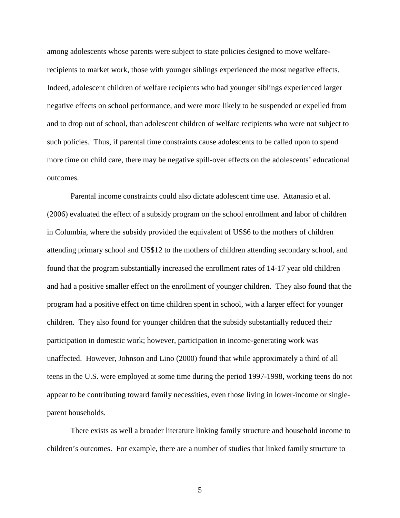among adolescents whose parents were subject to state policies designed to move welfarerecipients to market work, those with younger siblings experienced the most negative effects. Indeed, adolescent children of welfare recipients who had younger siblings experienced larger negative effects on school performance, and were more likely to be suspended or expelled from and to drop out of school, than adolescent children of welfare recipients who were not subject to such policies. Thus, if parental time constraints cause adolescents to be called upon to spend more time on child care, there may be negative spill-over effects on the adolescents' educational outcomes.

Parental income constraints could also dictate adolescent time use. Attanasio et al. (2006) evaluated the effect of a subsidy program on the school enrollment and labor of children in Columbia, where the subsidy provided the equivalent of US\$6 to the mothers of children attending primary school and US\$12 to the mothers of children attending secondary school, and found that the program substantially increased the enrollment rates of 14-17 year old children and had a positive smaller effect on the enrollment of younger children. They also found that the program had a positive effect on time children spent in school, with a larger effect for younger children. They also found for younger children that the subsidy substantially reduced their participation in domestic work; however, participation in income-generating work was unaffected. However, Johnson and Lino (2000) found that while approximately a third of all teens in the U.S. were employed at some time during the period 1997-1998, working teens do not appear to be contributing toward family necessities, even those living in lower-income or singleparent households.

There exists as well a broader literature linking family structure and household income to children's outcomes. For example, there are a number of studies that linked family structure to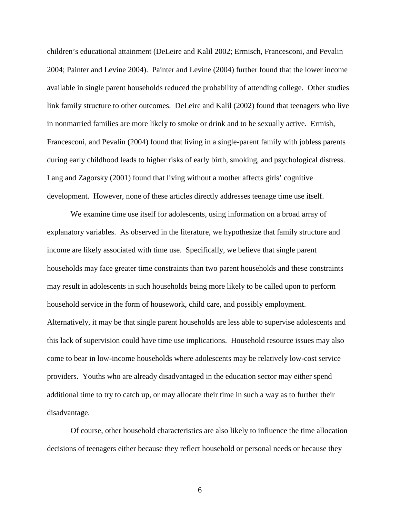children's educational attainment (DeLeire and Kalil 2002; Ermisch, Francesconi, and Pevalin 2004; Painter and Levine 2004). Painter and Levine (2004) further found that the lower income available in single parent households reduced the probability of attending college. Other studies link family structure to other outcomes. DeLeire and Kalil (2002) found that teenagers who live in nonmarried families are more likely to smoke or drink and to be sexually active. Ermish, Francesconi, and Pevalin (2004) found that living in a single-parent family with jobless parents during early childhood leads to higher risks of early birth, smoking, and psychological distress. Lang and Zagorsky (2001) found that living without a mother affects girls' cognitive development. However, none of these articles directly addresses teenage time use itself.

We examine time use itself for adolescents, using information on a broad array of explanatory variables. As observed in the literature, we hypothesize that family structure and income are likely associated with time use. Specifically, we believe that single parent households may face greater time constraints than two parent households and these constraints may result in adolescents in such households being more likely to be called upon to perform household service in the form of housework, child care, and possibly employment. Alternatively, it may be that single parent households are less able to supervise adolescents and this lack of supervision could have time use implications. Household resource issues may also come to bear in low-income households where adolescents may be relatively low-cost service providers. Youths who are already disadvantaged in the education sector may either spend additional time to try to catch up, or may allocate their time in such a way as to further their disadvantage.

Of course, other household characteristics are also likely to influence the time allocation decisions of teenagers either because they reflect household or personal needs or because they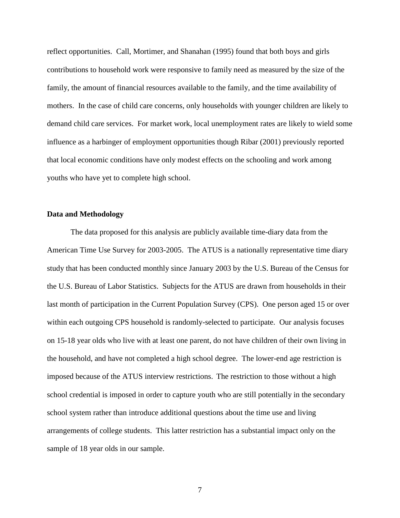reflect opportunities. Call, Mortimer, and Shanahan (1995) found that both boys and girls contributions to household work were responsive to family need as measured by the size of the family, the amount of financial resources available to the family, and the time availability of mothers. In the case of child care concerns, only households with younger children are likely to demand child care services. For market work, local unemployment rates are likely to wield some influence as a harbinger of employment opportunities though Ribar (2001) previously reported that local economic conditions have only modest effects on the schooling and work among youths who have yet to complete high school.

### **Data and Methodology**

The data proposed for this analysis are publicly available time-diary data from the American Time Use Survey for 2003-2005. The ATUS is a nationally representative time diary study that has been conducted monthly since January 2003 by the U.S. Bureau of the Census for the U.S. Bureau of Labor Statistics. Subjects for the ATUS are drawn from households in their last month of participation in the Current Population Survey (CPS). One person aged 15 or over within each outgoing CPS household is randomly-selected to participate. Our analysis focuses on 15-18 year olds who live with at least one parent, do not have children of their own living in the household, and have not completed a high school degree. The lower-end age restriction is imposed because of the ATUS interview restrictions. The restriction to those without a high school credential is imposed in order to capture youth who are still potentially in the secondary school system rather than introduce additional questions about the time use and living arrangements of college students. This latter restriction has a substantial impact only on the sample of 18 year olds in our sample.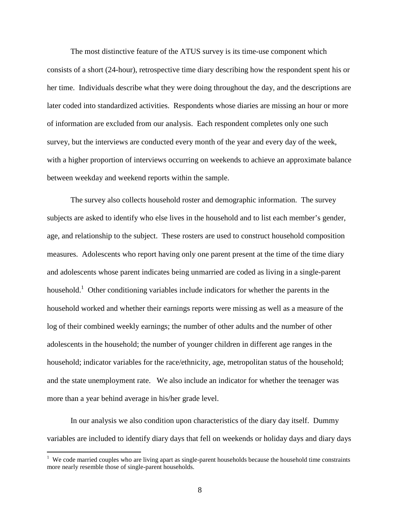The most distinctive feature of the ATUS survey is its time-use component which consists of a short (24-hour), retrospective time diary describing how the respondent spent his or her time. Individuals describe what they were doing throughout the day, and the descriptions are later coded into standardized activities. Respondents whose diaries are missing an hour or more of information are excluded from our analysis. Each respondent completes only one such survey, but the interviews are conducted every month of the year and every day of the week, with a higher proportion of interviews occurring on weekends to achieve an approximate balance between weekday and weekend reports within the sample.

The survey also collects household roster and demographic information. The survey subjects are asked to identify who else lives in the household and to list each member's gender, age, and relationship to the subject. These rosters are used to construct household composition measures. Adolescents who report having only one parent present at the time of the time diary and adolescents whose parent indicates being unmarried are coded as living in a single-parent household.<sup>1</sup> Other conditioning variables include indicators for whether the parents in the household worked and whether their earnings reports were missing as well as a measure of the log of their combined weekly earnings; the number of other adults and the number of other adolescents in the household; the number of younger children in different age ranges in the household; indicator variables for the race/ethnicity, age, metropolitan status of the household; and the state unemployment rate. We also include an indicator for whether the teenager was more than a year behind average in his/her grade level.

In our analysis we also condition upon characteristics of the diary day itself. Dummy variables are included to identify diary days that fell on weekends or holiday days and diary days

<sup>&</sup>lt;sup>1</sup> We code married couples who are living apart as single-parent households because the household time constraints more nearly resemble those of single-parent households.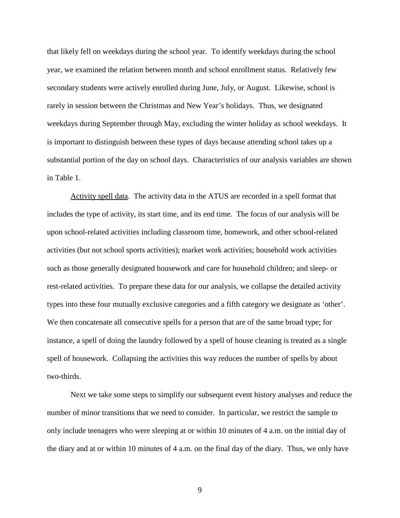that likely fell on weekdays during the school year. To identify weekdays during the school year, we examined the relation between month and school enrollment status. Relatively few secondary students were actively enrolled during June, July, or August. Likewise, school is rarely in session between the Christmas and New Year's holidays. Thus, we designated weekdays during September through May, excluding the winter holiday as school weekdays. It is important to distinguish between these types of days because attending school takes up a substantial portion of the day on school days. Characteristics of our analysis variables are shown in Table 1.

Activity spell data. The activity data in the ATUS are recorded in a spell format that includes the type of activity, its start time, and its end time. The focus of our analysis will be upon school-related activities including classroom time, homework, and other school-related activities (but not school sports activities); market work activities; household work activities such as those generally designated housework and care for household children; and sleep- or rest-related activities. To prepare these data for our analysis, we collapse the detailed activity types into these four mutually exclusive categories and a fifth category we designate as 'other'. We then concatenate all consecutive spells for a person that are of the same broad type; for instance, a spell of doing the laundry followed by a spell of house cleaning is treated as a single spell of housework. Collapsing the activities this way reduces the number of spells by about two-thirds.

Next we take some steps to simplify our subsequent event history analyses and reduce the number of minor transitions that we need to consider. In particular, we restrict the sample to only include teenagers who were sleeping at or within 10 minutes of 4 a.m. on the initial day of the diary and at or within 10 minutes of 4 a.m. on the final day of the diary. Thus, we only have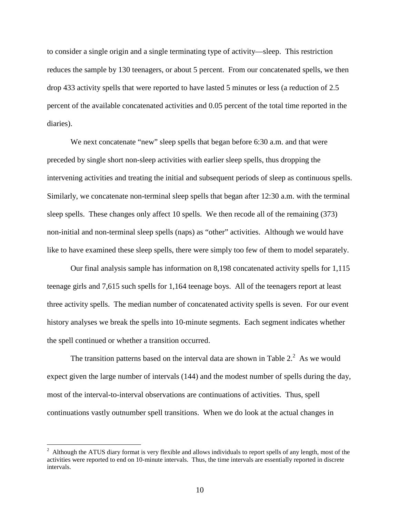to consider a single origin and a single terminating type of activity—sleep. This restriction reduces the sample by 130 teenagers, or about 5 percent. From our concatenated spells, we then drop 433 activity spells that were reported to have lasted 5 minutes or less (a reduction of 2.5 percent of the available concatenated activities and 0.05 percent of the total time reported in the diaries).

We next concatenate "new" sleep spells that began before 6:30 a.m. and that were preceded by single short non-sleep activities with earlier sleep spells, thus dropping the intervening activities and treating the initial and subsequent periods of sleep as continuous spells. Similarly, we concatenate non-terminal sleep spells that began after 12:30 a.m. with the terminal sleep spells. These changes only affect 10 spells. We then recode all of the remaining (373) non-initial and non-terminal sleep spells (naps) as "other" activities. Although we would have like to have examined these sleep spells, there were simply too few of them to model separately.

Our final analysis sample has information on 8,198 concatenated activity spells for 1,115 teenage girls and 7,615 such spells for 1,164 teenage boys. All of the teenagers report at least three activity spells. The median number of concatenated activity spells is seven. For our event history analyses we break the spells into 10-minute segments. Each segment indicates whether the spell continued or whether a transition occurred.

The transition patterns based on the interval data are shown in Table  $2<sup>2</sup>$ . As we would expect given the large number of intervals (144) and the modest number of spells during the day, most of the interval-to-interval observations are continuations of activities. Thus, spell continuations vastly outnumber spell transitions. When we do look at the actual changes in

<sup>&</sup>lt;sup>2</sup> Although the ATUS diary format is very flexible and allows individuals to report spells of any length, most of the activities were reported to end on 10-minute intervals. Thus, the time intervals are essentially reported in discrete intervals.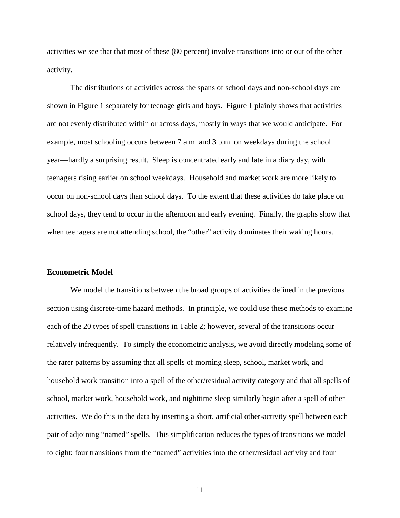activities we see that that most of these (80 percent) involve transitions into or out of the other activity.

The distributions of activities across the spans of school days and non-school days are shown in Figure 1 separately for teenage girls and boys. Figure 1 plainly shows that activities are not evenly distributed within or across days, mostly in ways that we would anticipate. For example, most schooling occurs between 7 a.m. and 3 p.m. on weekdays during the school year—hardly a surprising result. Sleep is concentrated early and late in a diary day, with teenagers rising earlier on school weekdays. Household and market work are more likely to occur on non-school days than school days. To the extent that these activities do take place on school days, they tend to occur in the afternoon and early evening. Finally, the graphs show that when teenagers are not attending school, the "other" activity dominates their waking hours.

#### **Econometric Model**

 We model the transitions between the broad groups of activities defined in the previous section using discrete-time hazard methods. In principle, we could use these methods to examine each of the 20 types of spell transitions in Table 2; however, several of the transitions occur relatively infrequently. To simply the econometric analysis, we avoid directly modeling some of the rarer patterns by assuming that all spells of morning sleep, school, market work, and household work transition into a spell of the other/residual activity category and that all spells of school, market work, household work, and nighttime sleep similarly begin after a spell of other activities. We do this in the data by inserting a short, artificial other-activity spell between each pair of adjoining "named" spells. This simplification reduces the types of transitions we model to eight: four transitions from the "named" activities into the other/residual activity and four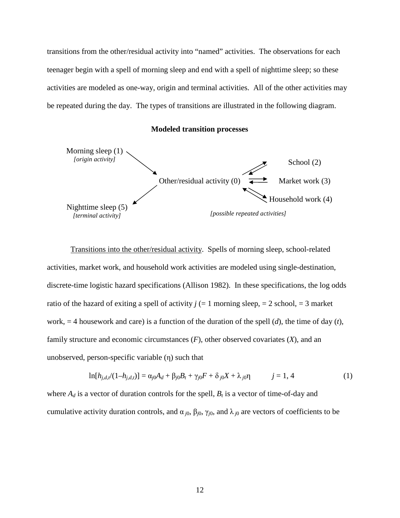transitions from the other/residual activity into "named" activities. The observations for each teenager begin with a spell of morning sleep and end with a spell of nighttime sleep; so these activities are modeled as one-way, origin and terminal activities. All of the other activities may be repeated during the day. The types of transitions are illustrated in the following diagram.

#### **Modeled transition processes**



 Transitions into the other/residual activity. Spells of morning sleep, school-related activities, market work, and household work activities are modeled using single-destination, discrete-time logistic hazard specifications (Allison 1982). In these specifications, the log odds ratio of the hazard of exiting a spell of activity  $j (= 1 \text{ morning sleep}, = 2 \text{ school}, = 3 \text{ market}$ work, = 4 housework and care) is a function of the duration of the spell (*d*), the time of day (*t*), family structure and economic circumstances (*F*), other observed covariates (*X*), and an unobserved, person-specific variable (η) such that

$$
\ln[h_{j,d,t'}(1-h_{j,d,t})] = \alpha_{j0}A_d + \beta_{j0}B_t + \gamma_{j0}F + \delta_{j0}X + \lambda_{j0}\eta \qquad j = 1, 4
$$
 (1)

where  $A_d$  is a vector of duration controls for the spell,  $B_t$  is a vector of time-of-day and cumulative activity duration controls, and  $\alpha_{j0}$ ,  $\beta_{j0}$ ,  $\gamma_{j0}$ , and  $\lambda_{j0}$  are vectors of coefficients to be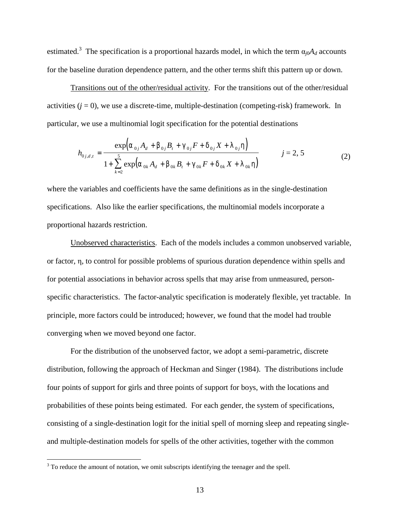estimated.<sup>3</sup> The specification is a proportional hazards model, in which the term  $\alpha_{j0}A_d$  accounts for the baseline duration dependence pattern, and the other terms shift this pattern up or down.

 Transitions out of the other/residual activity. For the transitions out of the other/residual activities  $(i = 0)$ , we use a discrete-time, multiple-destination (competing-risk) framework. In particular, we use a multinomial logit specification for the potential destinations

$$
h_{0j,d,t} = \frac{\exp(\alpha_{0j}A_d + \beta_{0j}B_t + \gamma_{0j}F + \delta_{0j}X + \lambda_{0j}\eta)}{1 + \sum_{k=2}^{5} \exp(\alpha_{0k}A_d + \beta_{0k}B_t + \gamma_{0k}F + \delta_{0k}X + \lambda_{0k}\eta)}
$$
 *j* = 2, 5 (2)

where the variables and coefficients have the same definitions as in the single-destination specifications. Also like the earlier specifications, the multinomial models incorporate a proportional hazards restriction.

 Unobserved characteristics. Each of the models includes a common unobserved variable, or factor, η, to control for possible problems of spurious duration dependence within spells and for potential associations in behavior across spells that may arise from unmeasured, personspecific characteristics. The factor-analytic specification is moderately flexible, yet tractable. In principle, more factors could be introduced; however, we found that the model had trouble converging when we moved beyond one factor.

 For the distribution of the unobserved factor, we adopt a semi-parametric, discrete distribution, following the approach of Heckman and Singer (1984). The distributions include four points of support for girls and three points of support for boys, with the locations and probabilities of these points being estimated. For each gender, the system of specifications, consisting of a single-destination logit for the initial spell of morning sleep and repeating singleand multiple-destination models for spells of the other activities, together with the common

<sup>&</sup>lt;sup>3</sup> To reduce the amount of notation, we omit subscripts identifying the teenager and the spell.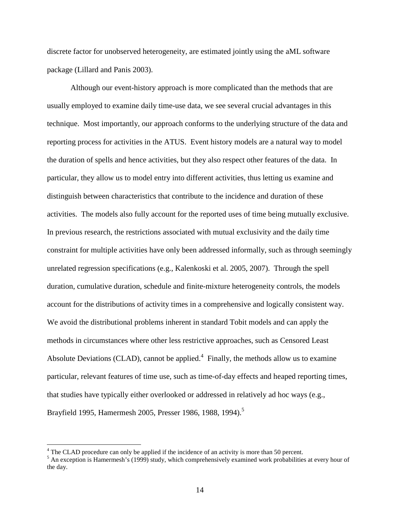discrete factor for unobserved heterogeneity, are estimated jointly using the aML software package (Lillard and Panis 2003).

Although our event-history approach is more complicated than the methods that are usually employed to examine daily time-use data, we see several crucial advantages in this technique. Most importantly, our approach conforms to the underlying structure of the data and reporting process for activities in the ATUS. Event history models are a natural way to model the duration of spells and hence activities, but they also respect other features of the data. In particular, they allow us to model entry into different activities, thus letting us examine and distinguish between characteristics that contribute to the incidence and duration of these activities. The models also fully account for the reported uses of time being mutually exclusive. In previous research, the restrictions associated with mutual exclusivity and the daily time constraint for multiple activities have only been addressed informally, such as through seemingly unrelated regression specifications (e.g., Kalenkoski et al. 2005, 2007). Through the spell duration, cumulative duration, schedule and finite-mixture heterogeneity controls, the models account for the distributions of activity times in a comprehensive and logically consistent way. We avoid the distributional problems inherent in standard Tobit models and can apply the methods in circumstances where other less restrictive approaches, such as Censored Least Absolute Deviations (CLAD), cannot be applied. $4$  Finally, the methods allow us to examine particular, relevant features of time use, such as time-of-day effects and heaped reporting times, that studies have typically either overlooked or addressed in relatively ad hoc ways (e.g., Brayfield 1995, Hamermesh 2005, Presser 1986, 1988, 1994).<sup>5</sup>

<u>.</u>

<sup>&</sup>lt;sup>4</sup> The CLAD procedure can only be applied if the incidence of an activity is more than 50 percent.

<sup>&</sup>lt;sup>5</sup> An exception is Hamermesh's (1999) study, which comprehensively examined work probabilities at every hour of the day.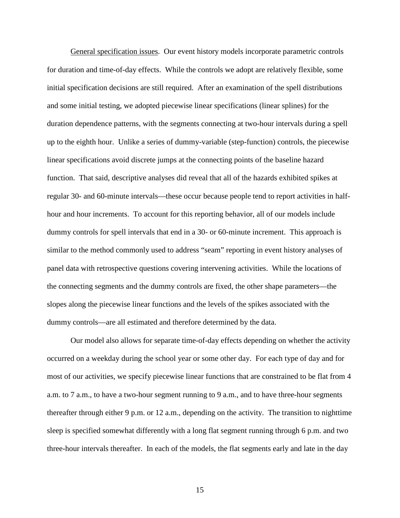General specification issues. Our event history models incorporate parametric controls for duration and time-of-day effects. While the controls we adopt are relatively flexible, some initial specification decisions are still required. After an examination of the spell distributions and some initial testing, we adopted piecewise linear specifications (linear splines) for the duration dependence patterns, with the segments connecting at two-hour intervals during a spell up to the eighth hour. Unlike a series of dummy-variable (step-function) controls, the piecewise linear specifications avoid discrete jumps at the connecting points of the baseline hazard function. That said, descriptive analyses did reveal that all of the hazards exhibited spikes at regular 30- and 60-minute intervals—these occur because people tend to report activities in halfhour and hour increments. To account for this reporting behavior, all of our models include dummy controls for spell intervals that end in a 30- or 60-minute increment. This approach is similar to the method commonly used to address "seam" reporting in event history analyses of panel data with retrospective questions covering intervening activities. While the locations of the connecting segments and the dummy controls are fixed, the other shape parameters—the slopes along the piecewise linear functions and the levels of the spikes associated with the dummy controls—are all estimated and therefore determined by the data.

Our model also allows for separate time-of-day effects depending on whether the activity occurred on a weekday during the school year or some other day. For each type of day and for most of our activities, we specify piecewise linear functions that are constrained to be flat from 4 a.m. to 7 a.m., to have a two-hour segment running to 9 a.m., and to have three-hour segments thereafter through either 9 p.m. or 12 a.m., depending on the activity. The transition to nighttime sleep is specified somewhat differently with a long flat segment running through 6 p.m. and two three-hour intervals thereafter. In each of the models, the flat segments early and late in the day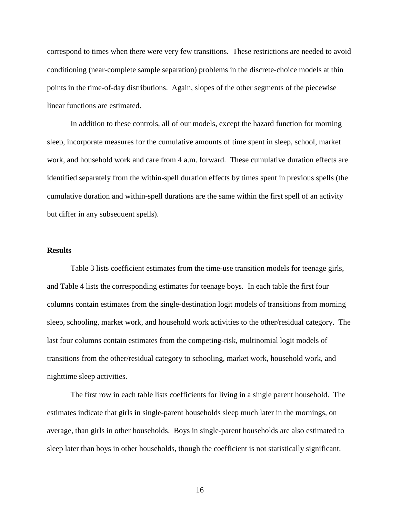correspond to times when there were very few transitions. These restrictions are needed to avoid conditioning (near-complete sample separation) problems in the discrete-choice models at thin points in the time-of-day distributions. Again, slopes of the other segments of the piecewise linear functions are estimated.

In addition to these controls, all of our models, except the hazard function for morning sleep, incorporate measures for the cumulative amounts of time spent in sleep, school, market work, and household work and care from 4 a.m. forward. These cumulative duration effects are identified separately from the within-spell duration effects by times spent in previous spells (the cumulative duration and within-spell durations are the same within the first spell of an activity but differ in any subsequent spells).

#### **Results**

 Table 3 lists coefficient estimates from the time-use transition models for teenage girls, and Table 4 lists the corresponding estimates for teenage boys. In each table the first four columns contain estimates from the single-destination logit models of transitions from morning sleep, schooling, market work, and household work activities to the other/residual category. The last four columns contain estimates from the competing-risk, multinomial logit models of transitions from the other/residual category to schooling, market work, household work, and nighttime sleep activities.

 The first row in each table lists coefficients for living in a single parent household. The estimates indicate that girls in single-parent households sleep much later in the mornings, on average, than girls in other households. Boys in single-parent households are also estimated to sleep later than boys in other households, though the coefficient is not statistically significant.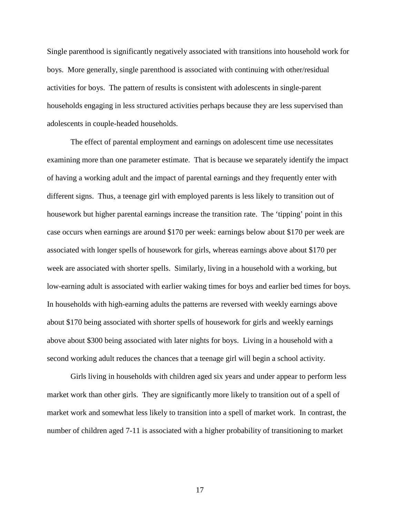Single parenthood is significantly negatively associated with transitions into household work for boys. More generally, single parenthood is associated with continuing with other/residual activities for boys. The pattern of results is consistent with adolescents in single-parent households engaging in less structured activities perhaps because they are less supervised than adolescents in couple-headed households.

The effect of parental employment and earnings on adolescent time use necessitates examining more than one parameter estimate. That is because we separately identify the impact of having a working adult and the impact of parental earnings and they frequently enter with different signs. Thus, a teenage girl with employed parents is less likely to transition out of housework but higher parental earnings increase the transition rate. The 'tipping' point in this case occurs when earnings are around \$170 per week: earnings below about \$170 per week are associated with longer spells of housework for girls, whereas earnings above about \$170 per week are associated with shorter spells. Similarly, living in a household with a working, but low-earning adult is associated with earlier waking times for boys and earlier bed times for boys. In households with high-earning adults the patterns are reversed with weekly earnings above about \$170 being associated with shorter spells of housework for girls and weekly earnings above about \$300 being associated with later nights for boys. Living in a household with a second working adult reduces the chances that a teenage girl will begin a school activity.

 Girls living in households with children aged six years and under appear to perform less market work than other girls. They are significantly more likely to transition out of a spell of market work and somewhat less likely to transition into a spell of market work. In contrast, the number of children aged 7-11 is associated with a higher probability of transitioning to market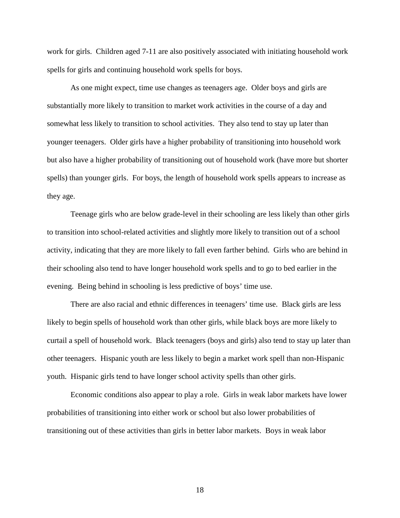work for girls. Children aged 7-11 are also positively associated with initiating household work spells for girls and continuing household work spells for boys.

 As one might expect, time use changes as teenagers age. Older boys and girls are substantially more likely to transition to market work activities in the course of a day and somewhat less likely to transition to school activities. They also tend to stay up later than younger teenagers. Older girls have a higher probability of transitioning into household work but also have a higher probability of transitioning out of household work (have more but shorter spells) than younger girls. For boys, the length of household work spells appears to increase as they age.

 Teenage girls who are below grade-level in their schooling are less likely than other girls to transition into school-related activities and slightly more likely to transition out of a school activity, indicating that they are more likely to fall even farther behind. Girls who are behind in their schooling also tend to have longer household work spells and to go to bed earlier in the evening. Being behind in schooling is less predictive of boys' time use.

 There are also racial and ethnic differences in teenagers' time use. Black girls are less likely to begin spells of household work than other girls, while black boys are more likely to curtail a spell of household work. Black teenagers (boys and girls) also tend to stay up later than other teenagers. Hispanic youth are less likely to begin a market work spell than non-Hispanic youth. Hispanic girls tend to have longer school activity spells than other girls.

 Economic conditions also appear to play a role. Girls in weak labor markets have lower probabilities of transitioning into either work or school but also lower probabilities of transitioning out of these activities than girls in better labor markets. Boys in weak labor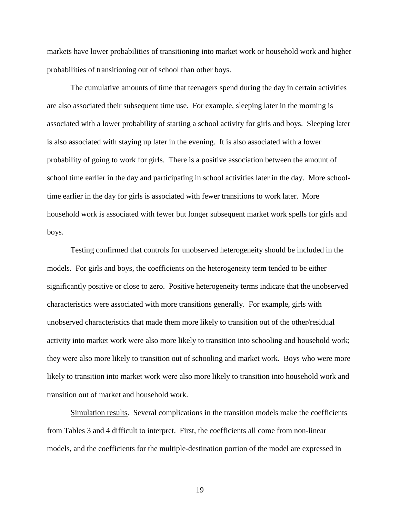markets have lower probabilities of transitioning into market work or household work and higher probabilities of transitioning out of school than other boys.

The cumulative amounts of time that teenagers spend during the day in certain activities are also associated their subsequent time use. For example, sleeping later in the morning is associated with a lower probability of starting a school activity for girls and boys. Sleeping later is also associated with staying up later in the evening. It is also associated with a lower probability of going to work for girls. There is a positive association between the amount of school time earlier in the day and participating in school activities later in the day. More schooltime earlier in the day for girls is associated with fewer transitions to work later. More household work is associated with fewer but longer subsequent market work spells for girls and boys.

 Testing confirmed that controls for unobserved heterogeneity should be included in the models. For girls and boys, the coefficients on the heterogeneity term tended to be either significantly positive or close to zero. Positive heterogeneity terms indicate that the unobserved characteristics were associated with more transitions generally. For example, girls with unobserved characteristics that made them more likely to transition out of the other/residual activity into market work were also more likely to transition into schooling and household work; they were also more likely to transition out of schooling and market work. Boys who were more likely to transition into market work were also more likely to transition into household work and transition out of market and household work.

 Simulation results. Several complications in the transition models make the coefficients from Tables 3 and 4 difficult to interpret. First, the coefficients all come from non-linear models, and the coefficients for the multiple-destination portion of the model are expressed in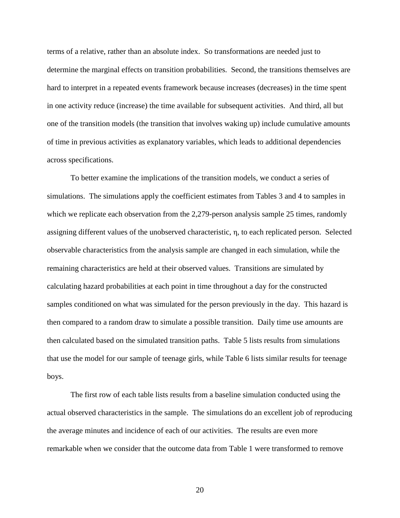terms of a relative, rather than an absolute index. So transformations are needed just to determine the marginal effects on transition probabilities. Second, the transitions themselves are hard to interpret in a repeated events framework because increases (decreases) in the time spent in one activity reduce (increase) the time available for subsequent activities. And third, all but one of the transition models (the transition that involves waking up) include cumulative amounts of time in previous activities as explanatory variables, which leads to additional dependencies across specifications.

 To better examine the implications of the transition models, we conduct a series of simulations. The simulations apply the coefficient estimates from Tables 3 and 4 to samples in which we replicate each observation from the 2,279-person analysis sample 25 times, randomly assigning different values of the unobserved characteristic, η, to each replicated person. Selected observable characteristics from the analysis sample are changed in each simulation, while the remaining characteristics are held at their observed values. Transitions are simulated by calculating hazard probabilities at each point in time throughout a day for the constructed samples conditioned on what was simulated for the person previously in the day. This hazard is then compared to a random draw to simulate a possible transition. Daily time use amounts are then calculated based on the simulated transition paths. Table 5 lists results from simulations that use the model for our sample of teenage girls, while Table 6 lists similar results for teenage boys.

 The first row of each table lists results from a baseline simulation conducted using the actual observed characteristics in the sample. The simulations do an excellent job of reproducing the average minutes and incidence of each of our activities. The results are even more remarkable when we consider that the outcome data from Table 1 were transformed to remove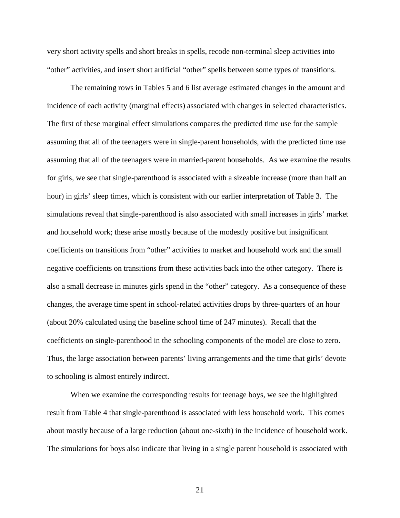very short activity spells and short breaks in spells, recode non-terminal sleep activities into "other" activities, and insert short artificial "other" spells between some types of transitions.

 The remaining rows in Tables 5 and 6 list average estimated changes in the amount and incidence of each activity (marginal effects) associated with changes in selected characteristics. The first of these marginal effect simulations compares the predicted time use for the sample assuming that all of the teenagers were in single-parent households, with the predicted time use assuming that all of the teenagers were in married-parent households. As we examine the results for girls, we see that single-parenthood is associated with a sizeable increase (more than half an hour) in girls' sleep times, which is consistent with our earlier interpretation of Table 3. The simulations reveal that single-parenthood is also associated with small increases in girls' market and household work; these arise mostly because of the modestly positive but insignificant coefficients on transitions from "other" activities to market and household work and the small negative coefficients on transitions from these activities back into the other category. There is also a small decrease in minutes girls spend in the "other" category. As a consequence of these changes, the average time spent in school-related activities drops by three-quarters of an hour (about 20% calculated using the baseline school time of 247 minutes). Recall that the coefficients on single-parenthood in the schooling components of the model are close to zero. Thus, the large association between parents' living arrangements and the time that girls' devote to schooling is almost entirely indirect.

 When we examine the corresponding results for teenage boys, we see the highlighted result from Table 4 that single-parenthood is associated with less household work. This comes about mostly because of a large reduction (about one-sixth) in the incidence of household work. The simulations for boys also indicate that living in a single parent household is associated with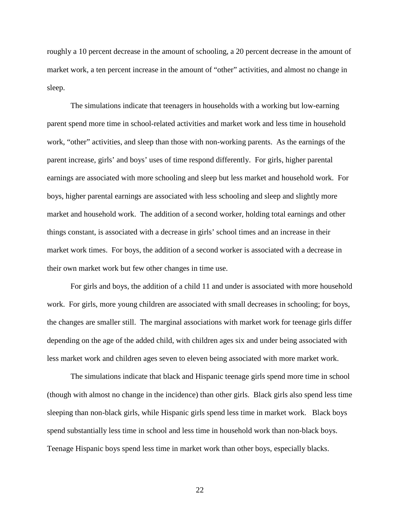roughly a 10 percent decrease in the amount of schooling, a 20 percent decrease in the amount of market work, a ten percent increase in the amount of "other" activities, and almost no change in sleep.

 The simulations indicate that teenagers in households with a working but low-earning parent spend more time in school-related activities and market work and less time in household work, "other" activities, and sleep than those with non-working parents. As the earnings of the parent increase, girls' and boys' uses of time respond differently. For girls, higher parental earnings are associated with more schooling and sleep but less market and household work. For boys, higher parental earnings are associated with less schooling and sleep and slightly more market and household work. The addition of a second worker, holding total earnings and other things constant, is associated with a decrease in girls' school times and an increase in their market work times. For boys, the addition of a second worker is associated with a decrease in their own market work but few other changes in time use.

 For girls and boys, the addition of a child 11 and under is associated with more household work. For girls, more young children are associated with small decreases in schooling; for boys, the changes are smaller still. The marginal associations with market work for teenage girls differ depending on the age of the added child, with children ages six and under being associated with less market work and children ages seven to eleven being associated with more market work.

 The simulations indicate that black and Hispanic teenage girls spend more time in school (though with almost no change in the incidence) than other girls. Black girls also spend less time sleeping than non-black girls, while Hispanic girls spend less time in market work. Black boys spend substantially less time in school and less time in household work than non-black boys. Teenage Hispanic boys spend less time in market work than other boys, especially blacks.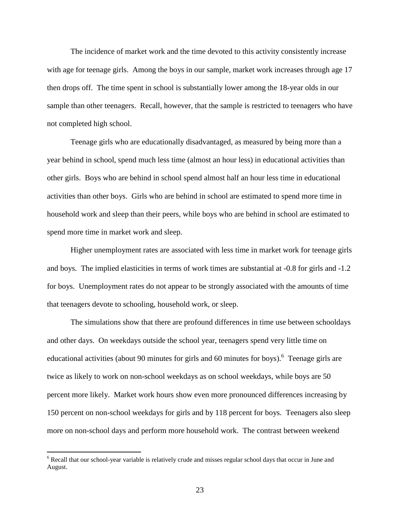The incidence of market work and the time devoted to this activity consistently increase with age for teenage girls. Among the boys in our sample, market work increases through age 17 then drops off. The time spent in school is substantially lower among the 18-year olds in our sample than other teenagers. Recall, however, that the sample is restricted to teenagers who have not completed high school.

 Teenage girls who are educationally disadvantaged, as measured by being more than a year behind in school, spend much less time (almost an hour less) in educational activities than other girls. Boys who are behind in school spend almost half an hour less time in educational activities than other boys. Girls who are behind in school are estimated to spend more time in household work and sleep than their peers, while boys who are behind in school are estimated to spend more time in market work and sleep.

 Higher unemployment rates are associated with less time in market work for teenage girls and boys. The implied elasticities in terms of work times are substantial at -0.8 for girls and -1.2 for boys. Unemployment rates do not appear to be strongly associated with the amounts of time that teenagers devote to schooling, household work, or sleep.

 The simulations show that there are profound differences in time use between schooldays and other days. On weekdays outside the school year, teenagers spend very little time on educational activities (about 90 minutes for girls and 60 minutes for boys). <sup>6</sup> Teenage girls are twice as likely to work on non-school weekdays as on school weekdays, while boys are 50 percent more likely. Market work hours show even more pronounced differences increasing by 150 percent on non-school weekdays for girls and by 118 percent for boys. Teenagers also sleep more on non-school days and perform more household work. The contrast between weekend

Figure 2.1<br>
<sup>6</sup> Recall that our school-year variable is relatively crude and misses regular school days that occur in June and August.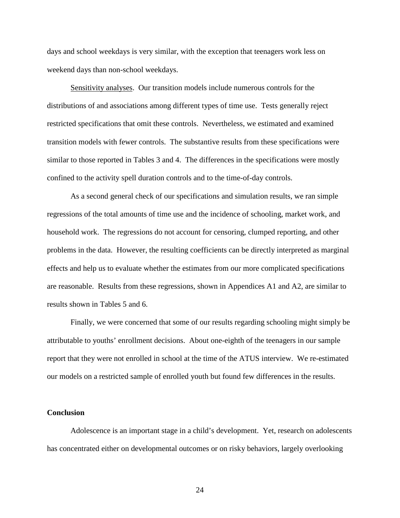days and school weekdays is very similar, with the exception that teenagers work less on weekend days than non-school weekdays.

 Sensitivity analyses. Our transition models include numerous controls for the distributions of and associations among different types of time use. Tests generally reject restricted specifications that omit these controls. Nevertheless, we estimated and examined transition models with fewer controls. The substantive results from these specifications were similar to those reported in Tables 3 and 4. The differences in the specifications were mostly confined to the activity spell duration controls and to the time-of-day controls.

 As a second general check of our specifications and simulation results, we ran simple regressions of the total amounts of time use and the incidence of schooling, market work, and household work. The regressions do not account for censoring, clumped reporting, and other problems in the data. However, the resulting coefficients can be directly interpreted as marginal effects and help us to evaluate whether the estimates from our more complicated specifications are reasonable. Results from these regressions, shown in Appendices A1 and A2, are similar to results shown in Tables 5 and 6.

 Finally, we were concerned that some of our results regarding schooling might simply be attributable to youths' enrollment decisions. About one-eighth of the teenagers in our sample report that they were not enrolled in school at the time of the ATUS interview. We re-estimated our models on a restricted sample of enrolled youth but found few differences in the results.

#### **Conclusion**

Adolescence is an important stage in a child's development. Yet, research on adolescents has concentrated either on developmental outcomes or on risky behaviors, largely overlooking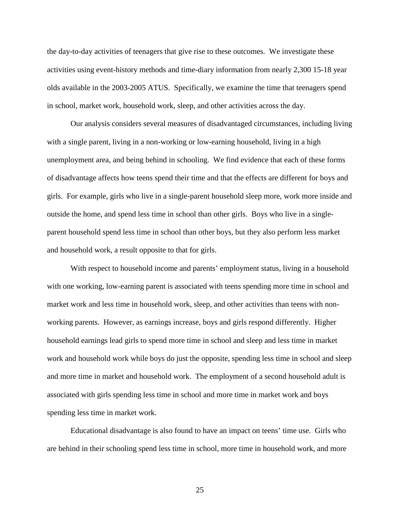the day-to-day activities of teenagers that give rise to these outcomes. We investigate these activities using event-history methods and time-diary information from nearly 2,300 15-18 year olds available in the 2003-2005 ATUS. Specifically, we examine the time that teenagers spend in school, market work, household work, sleep, and other activities across the day.

Our analysis considers several measures of disadvantaged circumstances, including living with a single parent, living in a non-working or low-earning household, living in a high unemployment area, and being behind in schooling. We find evidence that each of these forms of disadvantage affects how teens spend their time and that the effects are different for boys and girls. For example, girls who live in a single-parent household sleep more, work more inside and outside the home, and spend less time in school than other girls. Boys who live in a singleparent household spend less time in school than other boys, but they also perform less market and household work, a result opposite to that for girls.

With respect to household income and parents' employment status, living in a household with one working, low-earning parent is associated with teens spending more time in school and market work and less time in household work, sleep, and other activities than teens with nonworking parents. However, as earnings increase, boys and girls respond differently. Higher household earnings lead girls to spend more time in school and sleep and less time in market work and household work while boys do just the opposite, spending less time in school and sleep and more time in market and household work. The employment of a second household adult is associated with girls spending less time in school and more time in market work and boys spending less time in market work.

Educational disadvantage is also found to have an impact on teens' time use. Girls who are behind in their schooling spend less time in school, more time in household work, and more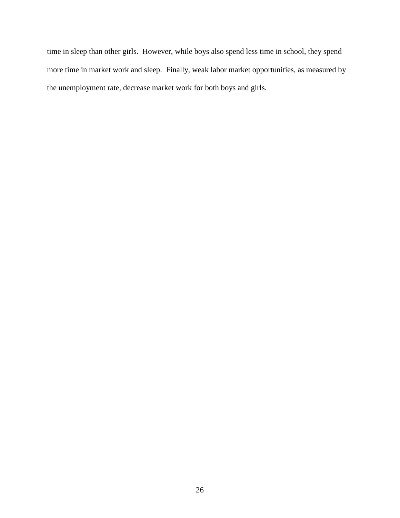time in sleep than other girls. However, while boys also spend less time in school, they spend more time in market work and sleep. Finally, weak labor market opportunities, as measured by the unemployment rate, decrease market work for both boys and girls.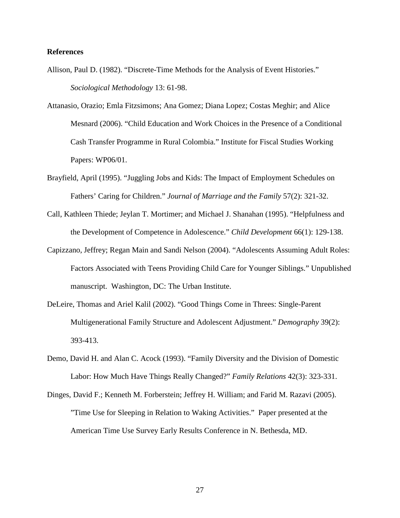### **References**

- Allison, Paul D. (1982). "Discrete-Time Methods for the Analysis of Event Histories." *Sociological Methodology* 13: 61-98.
- Attanasio, Orazio; Emla Fitzsimons; Ana Gomez; Diana Lopez; Costas Meghir; and Alice Mesnard (2006). "Child Education and Work Choices in the Presence of a Conditional Cash Transfer Programme in Rural Colombia." Institute for Fiscal Studies Working Papers: WP06/01.
- Brayfield, April (1995). "Juggling Jobs and Kids: The Impact of Employment Schedules on Fathers' Caring for Children." *Journal of Marriage and the Family* 57(2): 321-32.
- Call, Kathleen Thiede; Jeylan T. Mortimer; and Michael J. Shanahan (1995). "Helpfulness and the Development of Competence in Adolescence." *Child Development* 66(1): 129-138.
- Capizzano, Jeffrey; Regan Main and Sandi Nelson (2004). "Adolescents Assuming Adult Roles: Factors Associated with Teens Providing Child Care for Younger Siblings." Unpublished manuscript. Washington, DC: The Urban Institute.
- DeLeire, Thomas and Ariel Kalil (2002). "Good Things Come in Threes: Single-Parent Multigenerational Family Structure and Adolescent Adjustment." *Demography* 39(2): 393-413.
- Demo, David H. and Alan C. Acock (1993). "Family Diversity and the Division of Domestic Labor: How Much Have Things Really Changed?" *Family Relations* 42(3): 323-331.
- Dinges, David F.; Kenneth M. Forberstein; Jeffrey H. William; and Farid M. Razavi (2005). "Time Use for Sleeping in Relation to Waking Activities." Paper presented at the American Time Use Survey Early Results Conference in N. Bethesda, MD.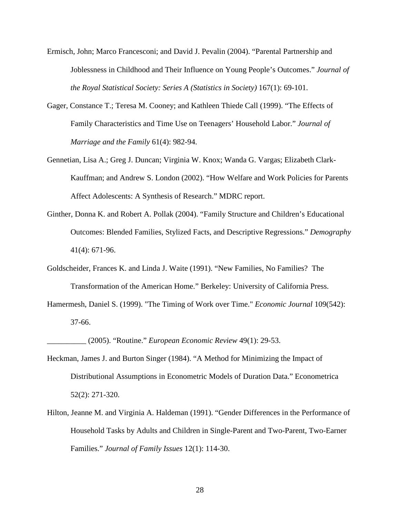- Ermisch, John; Marco Francesconi; and David J. Pevalin (2004). "Parental Partnership and Joblessness in Childhood and Their Influence on Young People's Outcomes." *Journal of the Royal Statistical Society: Series A (Statistics in Society)* 167(1): 69-101.
- Gager, Constance T.; Teresa M. Cooney; and Kathleen Thiede Call (1999). "The Effects of Family Characteristics and Time Use on Teenagers' Household Labor." *Journal of Marriage and the Family* 61(4): 982-94.
- Gennetian, Lisa A.; Greg J. Duncan; Virginia W. Knox; Wanda G. Vargas; Elizabeth Clark-Kauffman; and Andrew S. London (2002). "How Welfare and Work Policies for Parents Affect Adolescents: A Synthesis of Research." MDRC report.
- Ginther, Donna K. and Robert A. Pollak (2004). "Family Structure and Children's Educational Outcomes: Blended Families, Stylized Facts, and Descriptive Regressions." *Demography*  41(4): 671-96.
- Goldscheider, Frances K. and Linda J. Waite (1991). "New Families, No Families? The Transformation of the American Home." Berkeley: University of California Press.
- Hamermesh, Daniel S. (1999). "The Timing of Work over Time." *Economic Journal* 109(542): 37-66.

\_\_\_\_\_\_\_\_\_\_ (2005). "Routine." *European Economic Review* 49(1): 29-53.

- Heckman, James J. and Burton Singer (1984). "A Method for Minimizing the Impact of Distributional Assumptions in Econometric Models of Duration Data." Econometrica 52(2): 271-320.
- Hilton, Jeanne M. and Virginia A. Haldeman (1991). "Gender Differences in the Performance of Household Tasks by Adults and Children in Single-Parent and Two-Parent, Two-Earner Families." *Journal of Family Issues* 12(1): 114-30.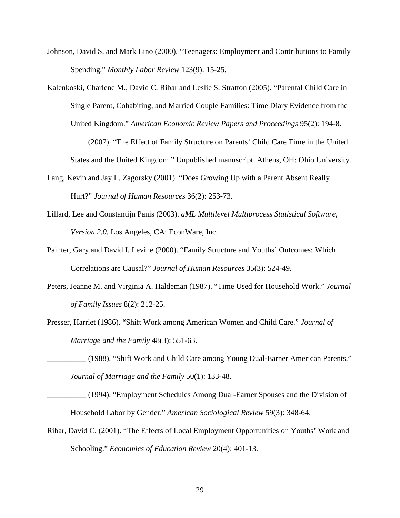- Johnson, David S. and Mark Lino (2000). "Teenagers: Employment and Contributions to Family Spending." *Monthly Labor Review* 123(9): 15-25.
- Kalenkoski, Charlene M., David C. Ribar and Leslie S. Stratton (2005). "Parental Child Care in Single Parent, Cohabiting, and Married Couple Families: Time Diary Evidence from the United Kingdom." *American Economic Review Papers and Proceedings* 95(2): 194-8.

(2007). "The Effect of Family Structure on Parents' Child Care Time in the United States and the United Kingdom." Unpublished manuscript. Athens, OH: Ohio University.

- Lang, Kevin and Jay L. Zagorsky (2001). "Does Growing Up with a Parent Absent Really Hurt?" *Journal of Human Resources* 36(2): 253-73.
- Lillard, Lee and Constantijn Panis (2003). *aML Multilevel Multiprocess Statistical Software, Version 2.0.* Los Angeles, CA: EconWare, Inc.
- Painter, Gary and David I. Levine (2000). "Family Structure and Youths' Outcomes: Which Correlations are Causal?" *Journal of Human Resources* 35(3): 524-49.
- Peters, Jeanne M. and Virginia A. Haldeman (1987). "Time Used for Household Work." *Journal of Family Issues* 8(2): 212-25.
- Presser, Harriet (1986). "Shift Work among American Women and Child Care." *Journal of Marriage and the Family* 48(3): 551-63.
- \_\_\_\_\_\_\_\_\_\_ (1988). "Shift Work and Child Care among Young Dual-Earner American Parents." *Journal of Marriage and the Family* 50(1): 133-48.
- \_\_\_\_\_\_\_\_\_\_ (1994). "Employment Schedules Among Dual-Earner Spouses and the Division of Household Labor by Gender." *American Sociological Review* 59(3): 348-64.
- Ribar, David C. (2001). "The Effects of Local Employment Opportunities on Youths' Work and Schooling." *Economics of Education Review* 20(4): 401-13.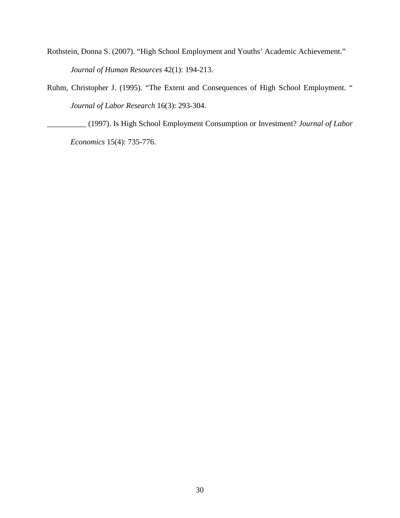- Rothstein, Donna S. (2007). "High School Employment and Youths' Academic Achievement." *Journal of Human Resources* 42(1): 194-213.
- Ruhm, Christopher J. (1995). "The Extent and Consequences of High School Employment. " *Journal of Labor Research* 16(3): 293-304.

\_\_\_\_\_\_\_\_\_\_ (1997). Is High School Employment Consumption or Investment? *Journal of Labor Economics* 15(4): 735-776.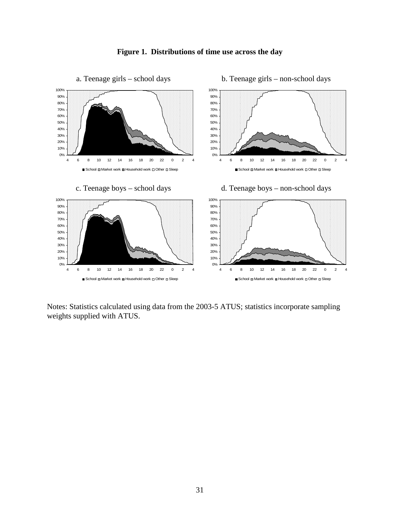

**Figure 1. Distributions of time use across the day**

Notes: Statistics calculated using data from the 2003-5 ATUS; statistics incorporate sampling weights supplied with ATUS.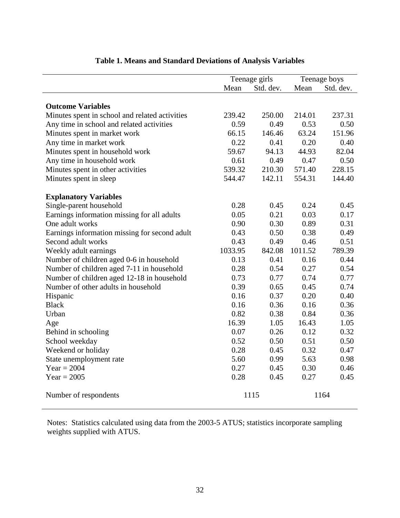|                                                |         | Teenage girls |         | Teenage boys |
|------------------------------------------------|---------|---------------|---------|--------------|
|                                                | Mean    | Std. dev.     | Mean    | Std. dev.    |
|                                                |         |               |         |              |
| <b>Outcome Variables</b>                       |         |               |         |              |
| Minutes spent in school and related activities | 239.42  | 250.00        | 214.01  | 237.31       |
| Any time in school and related activities      | 0.59    | 0.49          | 0.53    | 0.50         |
| Minutes spent in market work                   | 66.15   | 146.46        | 63.24   | 151.96       |
| Any time in market work                        | 0.22    | 0.41          | 0.20    | 0.40         |
| Minutes spent in household work                | 59.67   | 94.13         | 44.93   | 82.04        |
| Any time in household work                     | 0.61    | 0.49          | 0.47    | 0.50         |
| Minutes spent in other activities              | 539.32  | 210.30        | 571.40  | 228.15       |
| Minutes spent in sleep                         | 544.47  | 142.11        | 554.31  | 144.40       |
| <b>Explanatory Variables</b>                   |         |               |         |              |
| Single-parent household                        | 0.28    | 0.45          | 0.24    | 0.45         |
| Earnings information missing for all adults    | 0.05    | 0.21          | 0.03    | 0.17         |
| One adult works                                | 0.90    | 0.30          | 0.89    | 0.31         |
| Earnings information missing for second adult  | 0.43    | 0.50          | 0.38    | 0.49         |
| Second adult works                             | 0.43    | 0.49          | 0.46    | 0.51         |
| Weekly adult earnings                          | 1033.95 | 842.08        | 1011.52 | 789.39       |
| Number of children aged 0-6 in household       | 0.13    | 0.41          | 0.16    | 0.44         |
| Number of children aged 7-11 in household      | 0.28    | 0.54          | 0.27    | 0.54         |
| Number of children aged 12-18 in household     | 0.73    | 0.77          | 0.74    | 0.77         |
| Number of other adults in household            | 0.39    | 0.65          | 0.45    | 0.74         |
| Hispanic                                       | 0.16    | 0.37          | 0.20    | 0.40         |
| <b>Black</b>                                   | 0.16    | 0.36          | 0.16    | 0.36         |
| Urban                                          | 0.82    | 0.38          | 0.84    | 0.36         |
| Age                                            | 16.39   | 1.05          | 16.43   | 1.05         |
| Behind in schooling                            | 0.07    | 0.26          | 0.12    | 0.32         |
| School weekday                                 | 0.52    | 0.50          | 0.51    | 0.50         |
| Weekend or holiday                             | 0.28    | 0.45          | 0.32    | 0.47         |
| State unemployment rate                        | 5.60    | 0.99          | 5.63    | 0.98         |
| Year = $2004$                                  | 0.27    | 0.45          | 0.30    | 0.46         |
| $Year = 2005$                                  | 0.28    | 0.45          | 0.27    | 0.45         |
| Number of respondents                          |         | 1115          |         | 1164         |

# **Table 1. Means and Standard Deviations of Analysis Variables**

Notes: Statistics calculated using data from the 2003-5 ATUS; statistics incorporate sampling weights supplied with ATUS.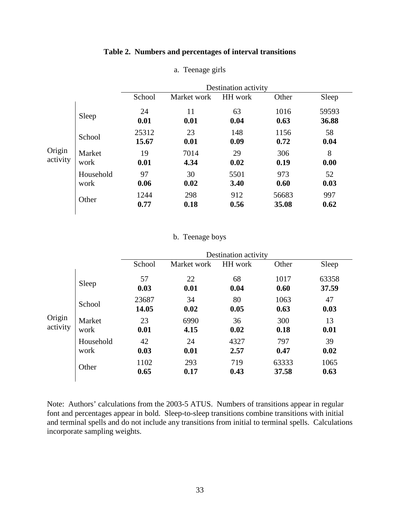## **Table 2. Numbers and percentages of interval transitions**

|                    |                   |                |              | Destination activity |                |                |
|--------------------|-------------------|----------------|--------------|----------------------|----------------|----------------|
|                    |                   | School         | Market work  | HH work              | Other          | Sleep          |
|                    | Sleep             | 24<br>0.01     | 11<br>0.01   | 63<br>0.04           | 1016<br>0.63   | 59593<br>36.88 |
|                    | School            | 25312<br>15.67 | 23<br>0.01   | 148<br>0.09          | 1156<br>0.72   | 58<br>0.04     |
| Origin<br>activity | Market<br>work    | 19<br>0.01     | 7014<br>4.34 | 29<br>0.02           | 306<br>0.19    | 8<br>0.00      |
|                    | Household<br>work | 97<br>0.06     | 30<br>0.02   | 5501<br>3.40         | 973<br>0.60    | 52<br>0.03     |
|                    | Other             | 1244<br>0.77   | 298<br>0.18  | 912<br>0.56          | 56683<br>35.08 | 997<br>0.62    |

## a. Teenage girls

# b. Teenage boys

|                    |                   |                |              | Destination activity |                |                |
|--------------------|-------------------|----------------|--------------|----------------------|----------------|----------------|
|                    |                   | School         | Market work  | HH work              | Other          | Sleep          |
|                    | Sleep             | 57<br>0.03     | 22<br>0.01   | 68<br>0.04           | 1017<br>0.60   | 63358<br>37.59 |
|                    | School            | 23687<br>14.05 | 34<br>0.02   | 80<br>0.05           | 1063<br>0.63   | 47<br>0.03     |
| Origin<br>activity | Market<br>work    | 23<br>0.01     | 6990<br>4.15 | 36<br>0.02           | 300<br>0.18    | 13<br>0.01     |
|                    | Household<br>work | 42<br>0.03     | 24<br>0.01   | 4327<br>2.57         | 797<br>0.47    | 39<br>0.02     |
|                    | Other             | 1102<br>0.65   | 293<br>0.17  | 719<br>0.43          | 63333<br>37.58 | 1065<br>0.63   |

Note: Authors' calculations from the 2003-5 ATUS. Numbers of transitions appear in regular font and percentages appear in bold. Sleep-to-sleep transitions combine transitions with initial and terminal spells and do not include any transitions from initial to terminal spells. Calculations incorporate sampling weights.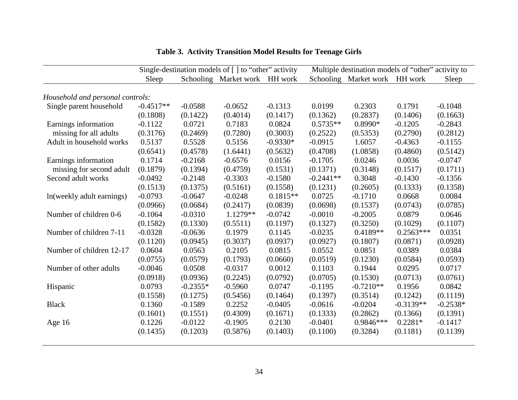|                                  |             |            | Single-destination models of [] to "other" activity |            | Multiple destination models of "other" activity to |                       |             |            |  |
|----------------------------------|-------------|------------|-----------------------------------------------------|------------|----------------------------------------------------|-----------------------|-------------|------------|--|
|                                  | Sleep       |            | Schooling Market work                               | HH work    |                                                    | Schooling Market work | HH work     | Sleep      |  |
|                                  |             |            |                                                     |            |                                                    |                       |             |            |  |
| Household and personal controls: |             |            |                                                     |            |                                                    |                       |             |            |  |
| Single parent household          | $-0.4517**$ | $-0.0588$  | $-0.0652$                                           | $-0.1313$  | 0.0199                                             | 0.2303                | 0.1791      | $-0.1048$  |  |
|                                  | (0.1808)    | (0.1422)   | (0.4014)                                            | (0.1417)   | (0.1362)                                           | (0.2837)              | (0.1406)    | (0.1663)   |  |
| Earnings information             | $-0.1122$   | 0.0721     | 0.7183                                              | 0.0824     | $0.5735**$                                         | $0.8990*$             | $-0.1205$   | $-0.2843$  |  |
| missing for all adults           | (0.3176)    | (0.2469)   | (0.7280)                                            | (0.3003)   | (0.2522)                                           | (0.5353)              | (0.2790)    | (0.2812)   |  |
| Adult in household works         | 0.5137      | 0.5528     | 0.5156                                              | $-0.9330*$ | $-0.0915$                                          | 1.6057                | $-0.4363$   | $-0.1155$  |  |
|                                  | (0.6541)    | (0.4578)   | (1.6441)                                            | (0.5632)   | (0.4708)                                           | (1.0858)              | (0.4860)    | (0.5142)   |  |
| Earnings information             | 0.1714      | $-0.2168$  | $-0.6576$                                           | 0.0156     | $-0.1705$                                          | 0.0246                | 0.0036      | $-0.0747$  |  |
| missing for second adult         | (0.1879)    | (0.1394)   | (0.4759)                                            | (0.1531)   | (0.1371)                                           | (0.3148)              | (0.1517)    | (0.1711)   |  |
| Second adult works               | $-0.0492$   | $-0.2148$  | $-0.3303$                                           | $-0.1580$  | $-0.2441**$                                        | 0.3048                | $-0.1430$   | $-0.1356$  |  |
|                                  | (0.1513)    | (0.1375)   | (0.5161)                                            | (0.1558)   | (0.1231)                                           | (0.2605)              | (0.1333)    | (0.1358)   |  |
| ln(weekly adult earnings)        | $-0.0793$   | $-0.0647$  | $-0.0248$                                           | $0.1815**$ | 0.0725                                             | $-0.1710$             | 0.0668      | 0.0084     |  |
|                                  | (0.0966)    | (0.0684)   | (0.2417)                                            | (0.0839)   | (0.0698)                                           | (0.1537)              | (0.0743)    | (0.0785)   |  |
| Number of children 0-6           | $-0.1064$   | $-0.0310$  | $1.1279**$                                          | $-0.0742$  | $-0.0010$                                          | $-0.2005$             | 0.0879      | 0.0646     |  |
|                                  | (0.1582)    | (0.1330)   | (0.5511)                                            | (0.1197)   | (0.1327)                                           | (0.3250)              | (0.1029)    | (0.1107)   |  |
| Number of children 7-11          | $-0.0328$   | $-0.0636$  | 0.1979                                              | 0.1145     | $-0.0235$                                          | $0.4189**$            | $0.2563***$ | 0.0351     |  |
|                                  | (0.1120)    | (0.0945)   | (0.3037)                                            | (0.0937)   | (0.0927)                                           | (0.1807)              | (0.0871)    | (0.0928)   |  |
| Number of children 12-17         | 0.0604      | 0.0563     | 0.2105                                              | 0.0815     | 0.0552                                             | 0.0851                | 0.0389      | 0.0384     |  |
|                                  | (0.0755)    | (0.0579)   | (0.1793)                                            | (0.0660)   | (0.0519)                                           | (0.1230)              | (0.0584)    | (0.0593)   |  |
| Number of other adults           | $-0.0046$   | 0.0508     | $-0.0317$                                           | 0.0012     | 0.1103                                             | 0.1944                | 0.0295      | 0.0717     |  |
|                                  | (0.0918)    | (0.0936)   | (0.2245)                                            | (0.0792)   | (0.0705)                                           | (0.1530)              | (0.0713)    | (0.0761)   |  |
| Hispanic                         | 0.0793      | $-0.2355*$ | $-0.5960$                                           | 0.0747     | $-0.1195$                                          | $-0.7210**$           | 0.1956      | 0.0842     |  |
|                                  | (0.1558)    | (0.1275)   | (0.5456)                                            | (0.1464)   | (0.1397)                                           | (0.3514)              | (0.1242)    | (0.1119)   |  |
| <b>Black</b>                     | 0.1360      | $-0.1589$  | 0.2252                                              | $-0.0405$  | $-0.0616$                                          | $-0.0204$             | $-0.3139**$ | $-0.2538*$ |  |
|                                  | (0.1601)    | (0.1551)   | (0.4309)                                            | (0.1671)   | (0.1333)                                           | (0.2862)              | (0.1366)    | (0.1391)   |  |
| Age $16$                         | 0.1226      | $-0.0122$  | $-0.1905$                                           | 0.2130     | $-0.0401$                                          | $0.9846***$           | $0.2281*$   | $-0.1417$  |  |
|                                  | (0.1435)    | (0.1203)   | (0.5876)                                            | (0.1403)   | (0.1100)                                           | (0.3284)              | (0.1181)    | (0.1139)   |  |
|                                  |             |            |                                                     |            |                                                    |                       |             |            |  |

**Table 3. Activity Transition Model Results for Teenage Girls**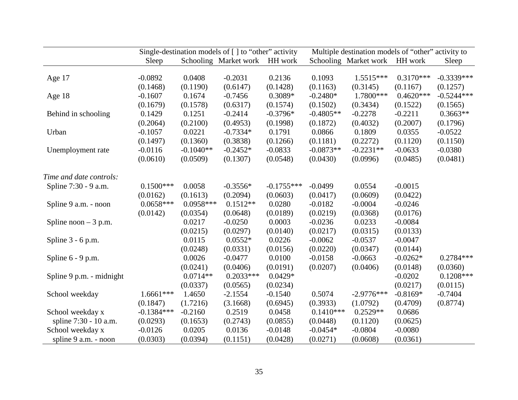|                          | Single-destination models of $\lceil \cdot \rceil$ to "other" activity |             |                       |              |             | Multiple destination models of "other" activity to |             |              |
|--------------------------|------------------------------------------------------------------------|-------------|-----------------------|--------------|-------------|----------------------------------------------------|-------------|--------------|
|                          | Sleep                                                                  |             | Schooling Market work | HH work      |             | Schooling Market work                              | HH work     | Sleep        |
|                          |                                                                        |             |                       |              |             |                                                    |             |              |
| Age 17                   | $-0.0892$                                                              | 0.0408      | $-0.2031$             | 0.2136       | 0.1093      | $1.5515***$                                        | $0.3170***$ | $-0.3339***$ |
|                          | (0.1468)                                                               | (0.1190)    | (0.6147)              | (0.1428)     | (0.1163)    | (0.3145)                                           | (0.1167)    | (0.1257)     |
| Age 18                   | $-0.1607$                                                              | 0.1674      | $-0.7456$             | $0.3089*$    | $-0.2480*$  | 1.7800***                                          | $0.4620***$ | $-0.5244***$ |
|                          | (0.1679)                                                               | (0.1578)    | (0.6317)              | (0.1574)     | (0.1502)    | (0.3434)                                           | (0.1522)    | (0.1565)     |
| Behind in schooling      | 0.1429                                                                 | 0.1251      | $-0.2414$             | $-0.3796*$   | $-0.4805**$ | $-0.2278$                                          | $-0.2211$   | $0.3663**$   |
|                          | (0.2064)                                                               | (0.2100)    | (0.4953)              | (0.1998)     | (0.1872)    | (0.4032)                                           | (0.2007)    | (0.1796)     |
| Urban                    | $-0.1057$                                                              | 0.0221      | $-0.7334*$            | 0.1791       | 0.0866      | 0.1809                                             | 0.0355      | $-0.0522$    |
|                          | (0.1497)                                                               | (0.1360)    | (0.3838)              | (0.1266)     | (0.1181)    | (0.2272)                                           | (0.1120)    | (0.1150)     |
| Unemployment rate        | $-0.0116$                                                              | $-0.1040**$ | $-0.2452*$            | $-0.0833$    | $-0.0873**$ | $-0.2231**$                                        | $-0.0633$   | $-0.0380$    |
|                          | (0.0610)                                                               | (0.0509)    | (0.1307)              | (0.0548)     | (0.0430)    | (0.0996)                                           | (0.0485)    | (0.0481)     |
| Time and date controls:  |                                                                        |             |                       |              |             |                                                    |             |              |
| Spline 7:30 - 9 a.m.     | $0.1500***$                                                            | 0.0058      | $-0.3556*$            | $-0.1755***$ | $-0.0499$   | 0.0554                                             | $-0.0015$   |              |
|                          | (0.0162)                                                               | (0.1613)    | (0.2094)              | (0.0603)     | (0.0417)    | (0.0609)                                           | (0.0422)    |              |
| Spline 9 a.m. - noon     | $0.0658***$                                                            | $0.0958***$ | $0.1512**$            | 0.0280       | $-0.0182$   | $-0.0004$                                          | $-0.0246$   |              |
|                          | (0.0142)                                                               | (0.0354)    | (0.0648)              | (0.0189)     | (0.0219)    | (0.0368)                                           | (0.0176)    |              |
| Spline noon $-3$ p.m.    |                                                                        | 0.0217      | $-0.0250$             | 0.0003       | $-0.0236$   | 0.0233                                             | $-0.0084$   |              |
|                          |                                                                        | (0.0215)    | (0.0297)              | (0.0140)     | (0.0217)    | (0.0315)                                           | (0.0133)    |              |
| Spline 3 - 6 p.m.        |                                                                        | 0.0115      | $0.0552*$             | 0.0226       | $-0.0062$   | $-0.0537$                                          | $-0.0047$   |              |
|                          |                                                                        | (0.0248)    | (0.0331)              | (0.0156)     | (0.0220)    | (0.0347)                                           | (0.0144)    |              |
| Spline $6 - 9$ p.m.      |                                                                        | 0.0026      | $-0.0477$             | 0.0100       | $-0.0158$   | $-0.0663$                                          | $-0.0262*$  | $0.2784***$  |
|                          |                                                                        | (0.0241)    | (0.0406)              | (0.0191)     | (0.0207)    | (0.0406)                                           | (0.0148)    | (0.0360)     |
| Spline 9 p.m. - midnight |                                                                        | $0.0714**$  | $0.2033***$           | $0.0429*$    |             |                                                    | $-0.0202$   | $0.1208***$  |
|                          |                                                                        | (0.0337)    | (0.0565)              | (0.0234)     |             |                                                    | (0.0217)    | (0.0115)     |
| School weekday           | $1.6661***$                                                            | 1.4650      | $-2.1554$             | $-0.1540$    | 0.5074      | $-2.9776***$                                       | $-0.8169*$  | $-0.7404$    |
|                          | (0.1847)                                                               | (1.7216)    | (3.1668)              | (0.6945)     | (0.3933)    | (1.0792)                                           | (0.4709)    | (0.8774)     |
| School weekday x         | $-0.1384***$                                                           | $-0.2160$   | 0.2519                | 0.0458       | $0.1410***$ | $0.2529**$                                         | 0.0686      |              |
| spline 7:30 - 10 a.m.    | (0.0293)                                                               | (0.1653)    | (0.2743)              | (0.0855)     | (0.0448)    | (0.1120)                                           | (0.0625)    |              |
| School weekday x         | $-0.0126$                                                              | 0.0205      | 0.0136                | $-0.0148$    | $-0.0454*$  | $-0.0804$                                          | $-0.0080$   |              |
| spline 9 a.m. - noon     | (0.0303)                                                               | (0.0394)    | (0.1151)              | (0.0428)     | (0.0271)    | (0.0608)                                           | (0.0361)    |              |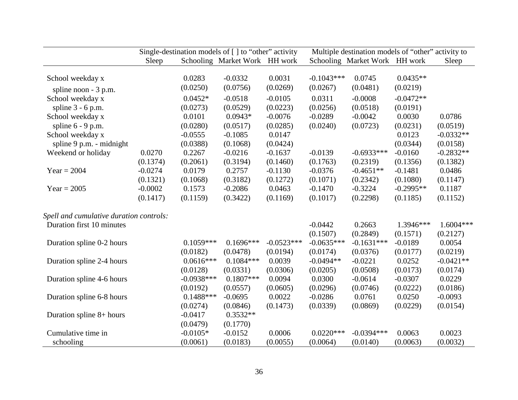|                                         |           |                         | Single-destination models of [] to "other" activity |                    |                          | Multiple destination models of "other" activity to |                       |                       |  |  |
|-----------------------------------------|-----------|-------------------------|-----------------------------------------------------|--------------------|--------------------------|----------------------------------------------------|-----------------------|-----------------------|--|--|
|                                         | Sleep     |                         | Schooling Market Work HH work                       |                    |                          | Schooling Market Work HH work                      |                       | Sleep                 |  |  |
|                                         |           |                         |                                                     |                    |                          |                                                    |                       |                       |  |  |
| School weekday x                        |           | 0.0283                  | $-0.0332$                                           | 0.0031             | $-0.1043***$             | 0.0745                                             | $0.0435**$            |                       |  |  |
| spline noon - 3 p.m.                    |           | (0.0250)                | (0.0756)                                            | (0.0269)           | (0.0267)                 | (0.0481)                                           | (0.0219)              |                       |  |  |
| School weekday x                        |           | $0.0452*$               | $-0.0518$                                           | $-0.0105$          | 0.0311                   | $-0.0008$                                          | $-0.0472**$           |                       |  |  |
| spline $3 - 6$ p.m.                     |           | (0.0273)                | (0.0529)                                            | (0.0223)           | (0.0256)                 | (0.0518)                                           | (0.0191)              |                       |  |  |
| School weekday x                        |           | 0.0101                  | $0.0943*$                                           | $-0.0076$          | $-0.0289$                | $-0.0042$                                          | 0.0030                | 0.0786                |  |  |
| spline $6 - 9$ p.m.                     |           | (0.0280)                | (0.0517)                                            | (0.0285)           | (0.0240)                 | (0.0723)                                           | (0.0231)              | (0.0519)              |  |  |
| School weekday x                        |           | $-0.0555$               | $-0.1085$                                           | 0.0147             |                          |                                                    | 0.0123                | $-0.0332**$           |  |  |
| spline 9 p.m. - midnight                |           | (0.0388)                | (0.1068)                                            | (0.0424)           |                          |                                                    | (0.0344)              | (0.0158)              |  |  |
| Weekend or holiday                      | 0.0270    | 0.2267                  | $-0.0216$                                           | $-0.1637$          | $-0.0139$                | $-0.6933***$                                       | $-0.0160$             | $-0.2832**$           |  |  |
|                                         | (0.1374)  | (0.2061)                | (0.3194)                                            | (0.1460)           | (0.1763)                 | (0.2319)                                           | (0.1356)              | (0.1382)              |  |  |
| $Year = 2004$                           | $-0.0274$ | 0.0179                  | 0.2757                                              | $-0.1130$          | $-0.0376$                | $-0.4651**$                                        | $-0.1481$             | 0.0486                |  |  |
|                                         | (0.1321)  | (0.1068)                | (0.3182)                                            | (0.1272)           | (0.1071)                 | (0.2342)                                           | (0.1080)              | (0.1147)              |  |  |
| $Year = 2005$                           | $-0.0002$ | 0.1573                  | $-0.2086$                                           | 0.0463             | $-0.1470$                | $-0.3224$                                          | $-0.2995**$           | 0.1187                |  |  |
|                                         | (0.1417)  | (0.1159)                | (0.3422)                                            | (0.1169)           | (0.1017)                 | (0.2298)                                           | (0.1185)              | (0.1152)              |  |  |
|                                         |           |                         |                                                     |                    |                          |                                                    |                       |                       |  |  |
| Spell and cumulative duration controls: |           |                         |                                                     |                    |                          |                                                    |                       |                       |  |  |
| Duration first 10 minutes               |           |                         |                                                     |                    | $-0.0442$                | 0.2663                                             | 1.3946***             | 1.6004 ***            |  |  |
|                                         |           | $0.1059***$             | $0.1696***$                                         | $-0.0523***$       | (0.1507)<br>$-0.0635***$ | (0.2849)<br>$-0.1631***$                           | (0.1571)<br>$-0.0189$ | (0.2127)<br>0.0054    |  |  |
| Duration spline 0-2 hours               |           | (0.0182)                | (0.0478)                                            | (0.0194)           | (0.0174)                 | (0.0376)                                           | (0.0177)              | (0.0219)              |  |  |
|                                         |           | $0.0616***$             | $0.1084***$                                         | 0.0039             | $-0.0494**$              | $-0.0221$                                          | 0.0252                | $-0.0421**$           |  |  |
| Duration spline 2-4 hours               |           | (0.0128)                | (0.0331)                                            | (0.0306)           | (0.0205)                 | (0.0508)                                           | (0.0173)              | (0.0174)              |  |  |
| Duration spline 4-6 hours               |           | $-0.0938***$            | $0.1807***$                                         | 0.0094             | 0.0300                   | $-0.0614$                                          | $-0.0307$             | 0.0229                |  |  |
|                                         |           |                         |                                                     |                    |                          |                                                    |                       |                       |  |  |
|                                         |           | (0.0192)<br>$0.1488***$ | (0.0557)<br>$-0.0695$                               | (0.0605)<br>0.0022 | (0.0296)<br>$-0.0286$    | (0.0746)<br>0.0761                                 | (0.0222)<br>0.0250    | (0.0186)<br>$-0.0093$ |  |  |
| Duration spline 6-8 hours               |           |                         |                                                     |                    |                          |                                                    |                       |                       |  |  |
|                                         |           | (0.0274)                | (0.0846)                                            | (0.1473)           | (0.0339)                 | (0.0869)                                           | (0.0229)              | (0.0154)              |  |  |
| Duration spline 8+ hours                |           | $-0.0417$               | $0.3532**$                                          |                    |                          |                                                    |                       |                       |  |  |
| Cumulative time in                      |           | (0.0479)<br>$-0.0105*$  | (0.1770)<br>$-0.0152$                               | 0.0006             | $0.0220***$              | $-0.0394***$                                       | 0.0063                | 0.0023                |  |  |
|                                         |           |                         |                                                     |                    |                          |                                                    |                       |                       |  |  |
| schooling                               |           | (0.0061)                | (0.0183)                                            | (0.0055)           | (0.0064)                 | (0.0140)                                           | (0.0063)              | (0.0032)              |  |  |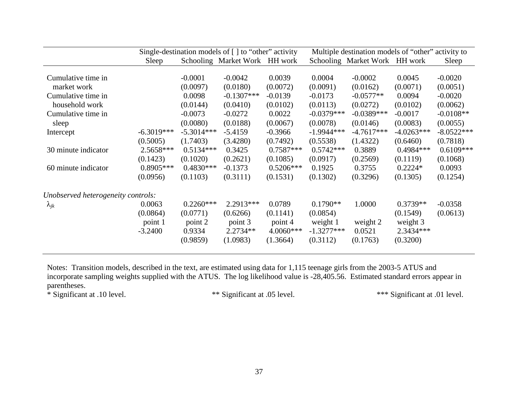|                                    |              |                               | Single-destination models of [] to "other" activity |             | Multiple destination models of "other" activity to |                               |              |              |
|------------------------------------|--------------|-------------------------------|-----------------------------------------------------|-------------|----------------------------------------------------|-------------------------------|--------------|--------------|
|                                    | Sleep        | Schooling Market Work HH work |                                                     |             |                                                    | Schooling Market Work HH work |              | Sleep        |
|                                    |              |                               |                                                     |             |                                                    |                               |              |              |
| Cumulative time in                 |              | $-0.0001$                     | $-0.0042$                                           | 0.0039      | 0.0004                                             | $-0.0002$                     | 0.0045       | $-0.0020$    |
| market work                        |              | (0.0097)                      | (0.0180)                                            | (0.0072)    | (0.0091)                                           | (0.0162)                      | (0.0071)     | (0.0051)     |
| Cumulative time in                 |              | 0.0098                        | $-0.1307***$                                        | $-0.0139$   | $-0.0173$                                          | $-0.0577**$                   | 0.0094       | $-0.0020$    |
| household work                     |              | (0.0144)                      | (0.0410)                                            | (0.0102)    | (0.0113)                                           | (0.0272)                      | (0.0102)     | (0.0062)     |
| Cumulative time in                 |              | $-0.0073$                     | $-0.0272$                                           | 0.0022      | $-0.0379***$                                       | $-0.0389***$                  | $-0.0017$    | $-0.0108**$  |
| sleep                              |              | (0.0080)                      | (0.0188)                                            | (0.0067)    | (0.0078)                                           | (0.0146)                      | (0.0083)     | (0.0055)     |
| Intercept                          | $-6.3019***$ | $-5.3014***$                  | $-5.4159$                                           | $-0.3966$   | $-1.9944***$                                       | $-4.7617***$                  | $-4.0263***$ | $-8.0522***$ |
|                                    | (0.5005)     | (1.7403)                      | (3.4280)                                            | (0.7492)    | (0.5538)                                           | (1.4322)                      | (0.6460)     | (0.7818)     |
| 30 minute indicator                | 2.5658***    | $0.5134***$                   | 0.3425                                              | $0.7587***$ | $0.5742***$                                        | 0.3889                        | $0.4984***$  | $0.6109***$  |
|                                    | (0.1423)     | (0.1020)                      | (0.2621)                                            | (0.1085)    | (0.0917)                                           | (0.2569)                      | (0.1119)     | (0.1068)     |
| 60 minute indicator                | $0.8905***$  | $0.4830***$                   | $-0.1373$                                           | $0.5206***$ | 0.1925                                             | 0.3755                        | $0.2224*$    | 0.0093       |
|                                    | (0.0956)     | (0.1103)                      | (0.3111)                                            | (0.1531)    | (0.1302)                                           | (0.3296)                      | (0.1305)     | (0.1254)     |
| Unobserved heterogeneity controls: |              |                               |                                                     |             |                                                    |                               |              |              |
| $\lambda_{jk}$                     | 0.0063       | $0.2260***$                   | 2.2913***                                           | 0.0789      | $0.1790**$                                         | 1.0000                        | $0.3739**$   | $-0.0358$    |
|                                    | (0.0864)     | (0.0771)                      | (0.6266)                                            | (0.1141)    | (0.0854)                                           |                               | (0.1549)     | (0.0613)     |
|                                    | point 1      | point 2                       | point 3                                             | point 4     | weight 1                                           | weight 2                      | weight 3     |              |
|                                    | $-3.2400$    | 0.9334                        | $2.2734**$                                          | 4.0060***   | $-1.3277***$                                       | 0.0521                        | 2.3434 ***   |              |
|                                    |              | (0.9859)                      | (1.0983)                                            | (1.3664)    | (0.3112)                                           | (0.1763)                      | (0.3200)     |              |
|                                    |              |                               |                                                     |             |                                                    |                               |              |              |

Notes: Transition models, described in the text, are estimated using data for 1,115 teenage girls from the 2003-5 ATUS and incorporate sampling weights supplied with the ATUS. The log likelihood value is -28,405.56. Estimated standard errors appear in parentheses.

\* Significant at .10 level.

\* Significant at .10 level. \*\* Significant at .05 level. \*\*\* Significant at .01 level.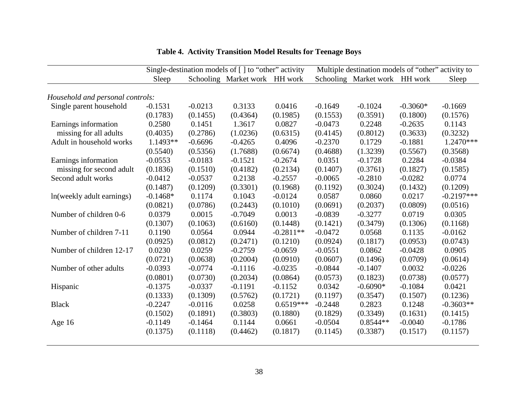|                                  | Single-destination models of [] to "other" activity |           |                               |             | Multiple destination models of "other" activity to |                               |            |              |  |
|----------------------------------|-----------------------------------------------------|-----------|-------------------------------|-------------|----------------------------------------------------|-------------------------------|------------|--------------|--|
|                                  | Sleep                                               |           | Schooling Market work HH work |             |                                                    | Schooling Market work HH work |            | Sleep        |  |
| Household and personal controls: |                                                     |           |                               |             |                                                    |                               |            |              |  |
| Single parent household          | $-0.1531$                                           | $-0.0213$ | 0.3133                        | 0.0416      | $-0.1649$                                          | $-0.1024$                     | $-0.3060*$ | $-0.1669$    |  |
|                                  | (0.1783)                                            | (0.1455)  | (0.4364)                      | (0.1985)    | (0.1553)                                           | (0.3591)                      | (0.1800)   | (0.1576)     |  |
| Earnings information             | 0.2580                                              | 0.1451    | 1.3617                        | 0.0827      | $-0.0473$                                          | 0.2248                        | $-0.2635$  | 0.1143       |  |
| missing for all adults           | (0.4035)                                            | (0.2786)  | (1.0236)                      | (0.6315)    | (0.4145)                                           | (0.8012)                      | (0.3633)   | (0.3232)     |  |
| Adult in household works         | 1.1493**                                            | $-0.6696$ | $-0.4265$                     | 0.4096      | $-0.2370$                                          | 0.1729                        | $-0.1881$  | $1.2470***$  |  |
|                                  | (0.5540)                                            | (0.5356)  | (1.7688)                      | (0.6674)    | (0.4688)                                           | (1.3239)                      | (0.5567)   | (0.3568)     |  |
| Earnings information             | $-0.0553$                                           | $-0.0183$ | $-0.1521$                     | $-0.2674$   | 0.0351                                             | $-0.1728$                     | 0.2284     | $-0.0384$    |  |
| missing for second adult         | (0.1836)                                            | (0.1510)  | (0.4182)                      | (0.2134)    | (0.1407)                                           | (0.3761)                      | (0.1827)   | (0.1585)     |  |
| Second adult works               | $-0.0412$                                           | $-0.0537$ | 0.2138                        | $-0.2557$   | $-0.0065$                                          | $-0.2810$                     | $-0.0282$  | 0.0774       |  |
|                                  | (0.1487)                                            | (0.1209)  | (0.3301)                      | (0.1968)    | (0.1192)                                           | (0.3024)                      | (0.1432)   | (0.1209)     |  |
| In(weekly adult earnings)        | $-0.1468*$                                          | 0.1174    | 0.1043                        | $-0.0124$   | 0.0587                                             | 0.0860                        | 0.0217     | $-0.2197***$ |  |
|                                  | (0.0821)                                            | (0.0786)  | (0.2443)                      | (0.1010)    | (0.0691)                                           | (0.2037)                      | (0.0809)   | (0.0516)     |  |
| Number of children 0-6           | 0.0379                                              | 0.0015    | $-0.7049$                     | 0.0013      | $-0.0839$                                          | $-0.3277$                     | 0.0719     | 0.0305       |  |
|                                  | (0.1307)                                            | (0.1063)  | (0.6160)                      | (0.1448)    | (0.1421)                                           | (0.3479)                      | (0.1306)   | (0.1168)     |  |
| Number of children 7-11          | 0.1190                                              | 0.0564    | 0.0944                        | $-0.2811**$ | $-0.0472$                                          | 0.0568                        | 0.1135     | $-0.0162$    |  |
|                                  | (0.0925)                                            | (0.0812)  | (0.2471)                      | (0.1210)    | (0.0924)                                           | (0.1817)                      | (0.0953)   | (0.0743)     |  |
| Number of children 12-17         | 0.0230                                              | 0.0259    | $-0.2759$                     | $-0.0659$   | $-0.0551$                                          | 0.0862                        | $-0.0428$  | 0.0905       |  |
|                                  | (0.0721)                                            | (0.0638)  | (0.2004)                      | (0.0910)    | (0.0607)                                           | (0.1496)                      | (0.0709)   | (0.0614)     |  |
| Number of other adults           | $-0.0393$                                           | $-0.0774$ | $-0.1116$                     | $-0.0235$   | $-0.0844$                                          | $-0.1407$                     | 0.0032     | $-0.0226$    |  |
|                                  | (0.0801)                                            | (0.0730)  | (0.2034)                      | (0.0864)    | (0.0573)                                           | (0.1823)                      | (0.0738)   | (0.0577)     |  |
| Hispanic                         | $-0.1375$                                           | $-0.0337$ | $-0.1191$                     | $-0.1152$   | 0.0342                                             | $-0.6090*$                    | $-0.1084$  | 0.0421       |  |
|                                  | (0.1333)                                            | (0.1309)  | (0.5762)                      | (0.1721)    | (0.1197)                                           | (0.3547)                      | (0.1507)   | (0.1236)     |  |
| <b>Black</b>                     | $-0.2247$                                           | $-0.0116$ | 0.0258                        | $0.6519***$ | $-0.2448$                                          | 0.2823                        | 0.1248     | $-0.3603**$  |  |
|                                  | (0.1502)                                            | (0.1891)  | (0.3803)                      | (0.1880)    | (0.1829)                                           | (0.3349)                      | (0.1631)   | (0.1415)     |  |
| Age $16$                         | $-0.1149$                                           | $-0.1464$ | 0.1144                        | 0.0661      | $-0.0504$                                          | $0.8544**$                    | $-0.0040$  | $-0.1786$    |  |
|                                  | (0.1375)                                            | (0.1118)  | (0.4462)                      | (0.1817)    | (0.1145)                                           | (0.3387)                      | (0.1517)   | (0.1157)     |  |
|                                  |                                                     |           |                               |             |                                                    |                               |            |              |  |

**Table 4. Activity Transition Model Results for Teenage Boys**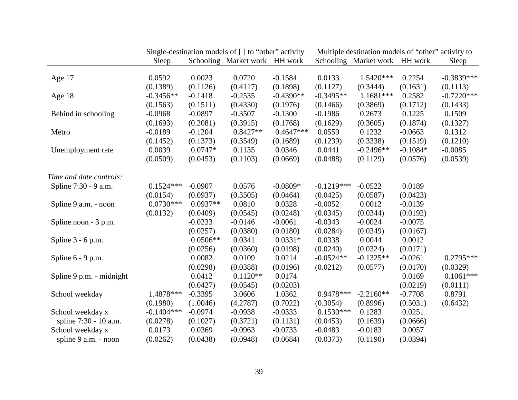|                          | Single-destination models of $\lceil \cdot \rceil$ to "other" activity |            |                               |             | Multiple destination models of "other" activity to |                               |            |              |  |
|--------------------------|------------------------------------------------------------------------|------------|-------------------------------|-------------|----------------------------------------------------|-------------------------------|------------|--------------|--|
|                          | Sleep                                                                  |            | Schooling Market work HH work |             |                                                    | Schooling Market work HH work |            | Sleep        |  |
|                          |                                                                        |            |                               |             |                                                    |                               |            |              |  |
| Age 17                   | 0.0592                                                                 | 0.0023     | 0.0720                        | $-0.1584$   | 0.0133                                             | 1.5420***                     | 0.2254     | $-0.3839***$ |  |
|                          | (0.1389)                                                               | (0.1126)   | (0.4117)                      | (0.1898)    | (0.1127)                                           | (0.3444)                      | (0.1631)   | (0.1113)     |  |
| Age 18                   | $-0.3456**$                                                            | $-0.1418$  | $-0.2535$                     | $-0.4390**$ | $-0.3495**$                                        | $1.1681***$                   | 0.2582     | $-0.7220***$ |  |
|                          | (0.1563)                                                               | (0.1511)   | (0.4330)                      | (0.1976)    | (0.1466)                                           | (0.3869)                      | (0.1712)   | (0.1433)     |  |
| Behind in schooling      | $-0.0968$                                                              | $-0.0897$  | $-0.3507$                     | $-0.1300$   | $-0.1986$                                          | 0.2673                        | 0.1225     | 0.1509       |  |
|                          | (0.1693)                                                               | (0.2081)   | (0.3915)                      | (0.1768)    | (0.1629)                                           | (0.3605)                      | (0.1874)   | (0.1327)     |  |
| Metro                    | $-0.0189$                                                              | $-0.1204$  | $0.8427**$                    | $0.4647***$ | 0.0559                                             | 0.1232                        | $-0.0663$  | 0.1312       |  |
|                          | (0.1452)                                                               | (0.1373)   | (0.3549)                      | (0.1689)    | (0.1239)                                           | (0.3338)                      | (0.1519)   | (0.1210)     |  |
| Unemployment rate        | 0.0039                                                                 | $0.0747*$  | 0.1135                        | 0.0346      | 0.0441                                             | $-0.2496**$                   | $-0.1084*$ | $-0.0085$    |  |
|                          | (0.0509)                                                               | (0.0453)   | (0.1103)                      | (0.0669)    | (0.0488)                                           | (0.1129)                      | (0.0576)   | (0.0539)     |  |
| Time and date controls:  |                                                                        |            |                               |             |                                                    |                               |            |              |  |
| Spline 7:30 - 9 a.m.     | $0.1524***$                                                            | $-0.0907$  | 0.0576                        | $-0.0809*$  | $-0.1219***$                                       | $-0.0522$                     | 0.0189     |              |  |
|                          | (0.0154)                                                               | (0.0937)   | (0.3505)                      | (0.0464)    | (0.0425)                                           | (0.0587)                      | (0.0423)   |              |  |
| Spline 9 a.m. - noon     | $0.0730***$                                                            | $0.0937**$ | 0.0810                        | 0.0328      | $-0.0052$                                          | 0.0012                        | $-0.0139$  |              |  |
|                          | (0.0132)                                                               | (0.0409)   | (0.0545)                      | (0.0248)    | (0.0345)                                           | (0.0344)                      | (0.0192)   |              |  |
| Spline noon - 3 p.m.     |                                                                        | $-0.0233$  | $-0.0146$                     | $-0.0061$   | $-0.0343$                                          | $-0.0024$                     | $-0.0075$  |              |  |
|                          |                                                                        | (0.0257)   | (0.0380)                      | (0.0180)    | (0.0284)                                           | (0.0349)                      | (0.0167)   |              |  |
| Spline $3 - 6$ p.m.      |                                                                        | $0.0506**$ | 0.0341                        | $0.0331*$   | 0.0338                                             | 0.0044                        | 0.0012     |              |  |
|                          |                                                                        | (0.0256)   | (0.0360)                      | (0.0198)    | (0.0240)                                           | (0.0324)                      | (0.0171)   |              |  |
| Spline $6 - 9$ p.m.      |                                                                        | 0.0082     | 0.0109                        | 0.0214      | $-0.0524**$                                        | $-0.1325**$                   | $-0.0261$  | $0.2795***$  |  |
|                          |                                                                        | (0.0298)   | (0.0388)                      | (0.0196)    | (0.0212)                                           | (0.0577)                      | (0.0170)   | (0.0329)     |  |
| Spline 9 p.m. - midnight |                                                                        | 0.0412     | $0.1120**$                    | 0.0174      |                                                    |                               | 0.0169     | $0.1061***$  |  |
|                          |                                                                        | (0.0427)   | (0.0545)                      | (0.0203)    |                                                    |                               | (0.0219)   | (0.0111)     |  |
| School weekday           | 1.4878 ***                                                             | $-0.3395$  | 3.0606                        | 1.0362      | 0.9478***                                          | $-2.2160**$                   | $-0.7708$  | 0.8791       |  |
|                          | (0.1980)                                                               | (1.0046)   | (4.2787)                      | (0.7022)    | (0.3054)                                           | (0.8996)                      | (0.5031)   | (0.6432)     |  |
| School weekday x         | $-0.1404***$                                                           | $-0.0974$  | $-0.0938$                     | $-0.0333$   | $0.1530***$                                        | 0.1283                        | 0.0251     |              |  |
| spline 7:30 - 10 a.m.    | (0.0278)                                                               | (0.1027)   | (0.3721)                      | (0.1131)    | (0.0453)                                           | (0.1639)                      | (0.0666)   |              |  |
| School weekday x         | 0.0173                                                                 | 0.0369     | $-0.0963$                     | $-0.0733$   | $-0.0483$                                          | $-0.0183$                     | 0.0057     |              |  |
| spline 9 a.m. - noon     | (0.0262)                                                               | (0.0438)   | (0.0948)                      | (0.0684)    | (0.0373)                                           | (0.1190)                      | (0.0394)   |              |  |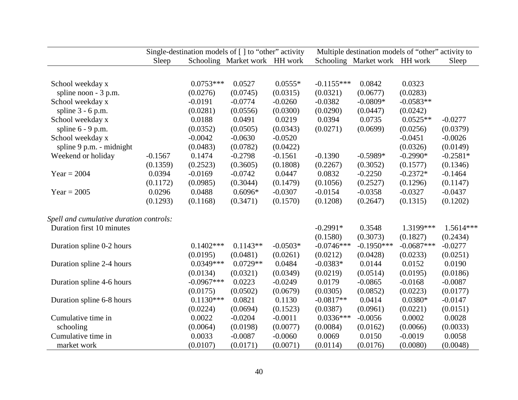|                                                                      | Single-destination models of [] to "other" activity |                          |                               |                    | Multiple destination models of "other" activity to |                               |                          |                       |  |
|----------------------------------------------------------------------|-----------------------------------------------------|--------------------------|-------------------------------|--------------------|----------------------------------------------------|-------------------------------|--------------------------|-----------------------|--|
|                                                                      | Sleep                                               |                          | Schooling Market work HH work |                    |                                                    | Schooling Market work HH work |                          | Sleep                 |  |
|                                                                      |                                                     |                          |                               |                    |                                                    |                               |                          |                       |  |
| School weekday x                                                     |                                                     | $0.0753***$              | 0.0527                        | $0.0555*$          | $-0.1155***$                                       | 0.0842                        | 0.0323                   |                       |  |
| spline noon - 3 p.m.                                                 |                                                     | (0.0276)                 | (0.0745)                      | (0.0315)           | (0.0321)                                           | (0.0677)                      | (0.0283)                 |                       |  |
| School weekday x                                                     |                                                     | $-0.0191$                | $-0.0774$                     | $-0.0260$          | $-0.0382$                                          | $-0.0809*$                    | $-0.0583**$              |                       |  |
| spline $3 - 6$ p.m.                                                  |                                                     | (0.0281)                 | (0.0556)                      | (0.0300)           | (0.0290)                                           | (0.0447)                      | (0.0242)                 |                       |  |
| School weekday x                                                     |                                                     | 0.0188                   | 0.0491                        | 0.0219             | 0.0394                                             | 0.0735                        | $0.0525**$               | $-0.0277$             |  |
| spline $6 - 9$ p.m.                                                  |                                                     | (0.0352)                 | (0.0505)                      | (0.0343)           | (0.0271)                                           | (0.0699)                      | (0.0256)                 | (0.0379)              |  |
| School weekday x                                                     |                                                     | $-0.0042$                | $-0.0630$                     | $-0.0520$          |                                                    |                               | $-0.0451$                | $-0.0026$             |  |
| spline 9 p.m. - midnight                                             |                                                     | (0.0483)                 | (0.0782)                      | (0.0422)           |                                                    |                               | (0.0326)                 | (0.0149)              |  |
| Weekend or holiday                                                   | $-0.1567$                                           | 0.1474                   | $-0.2798$                     | $-0.1561$          | $-0.1390$                                          | $-0.5989*$                    | $-0.2990*$               | $-0.2581*$            |  |
|                                                                      | (0.1359)                                            | (0.2523)                 | (0.3605)                      | (0.1808)           | (0.2267)                                           | (0.3052)                      | (0.1577)                 | (0.1346)              |  |
| $Year = 2004$                                                        | 0.0394                                              | $-0.0169$                | $-0.0742$                     | 0.0447             | 0.0832                                             | $-0.2250$                     | $-0.2372*$               | $-0.1464$             |  |
|                                                                      | (0.1172)                                            | (0.0985)                 | (0.3044)                      | (0.1479)           | (0.1056)                                           | (0.2527)                      | (0.1296)                 | (0.1147)              |  |
| $Year = 2005$                                                        | 0.0296                                              | 0.0488                   | $0.6096*$                     | $-0.0307$          | $-0.0154$                                          | $-0.0358$                     | $-0.0327$                | $-0.0437$             |  |
|                                                                      | (0.1293)                                            | (0.1168)                 | (0.3471)                      | (0.1570)           | (0.1208)                                           | (0.2647)                      | (0.1315)                 | (0.1202)              |  |
|                                                                      |                                                     |                          |                               |                    |                                                    |                               |                          |                       |  |
| Spell and cumulative duration controls:<br>Duration first 10 minutes |                                                     |                          |                               |                    | $-0.2991*$                                         | 0.3548                        | 1.3199***                | $1.5614***$           |  |
|                                                                      |                                                     |                          |                               |                    |                                                    |                               |                          |                       |  |
|                                                                      |                                                     | $0.1402***$              | $0.1143**$                    | $-0.0503*$         | (0.1580)                                           | (0.3073)<br>$-0.1950***$      | (0.1827)<br>$-0.0687***$ | (0.2434)              |  |
| Duration spline 0-2 hours                                            |                                                     |                          |                               |                    | $-0.0746***$                                       |                               |                          | $-0.0277$             |  |
|                                                                      |                                                     | (0.0195)<br>$0.0349***$  | (0.0481)<br>$0.0729**$        | (0.0261)<br>0.0484 | (0.0212)<br>$-0.0383*$                             | (0.0428)<br>0.0144            | (0.0233)<br>0.0152       | (0.0251)<br>0.0190    |  |
| Duration spline 2-4 hours                                            |                                                     |                          |                               | (0.0349)           |                                                    |                               |                          |                       |  |
|                                                                      |                                                     | (0.0134)<br>$-0.0967***$ | (0.0321)<br>0.0223            |                    | (0.0219)<br>0.0179                                 | (0.0514)<br>$-0.0865$         | (0.0195)<br>$-0.0168$    | (0.0186)<br>$-0.0087$ |  |
| Duration spline 4-6 hours                                            |                                                     |                          |                               | $-0.0249$          |                                                    |                               |                          |                       |  |
|                                                                      |                                                     | (0.0175)                 | (0.0502)                      | (0.0679)           | (0.0305)                                           | (0.0852)                      | (0.0223)                 | (0.0177)              |  |
| Duration spline 6-8 hours                                            |                                                     | $0.1130***$              | 0.0821                        | 0.1130             | $-0.0817**$                                        | 0.0414                        | $0.0380*$                | $-0.0147$             |  |
|                                                                      |                                                     | (0.0224)                 | (0.0694)                      | (0.1523)           | (0.0387)                                           | (0.0961)                      | (0.0221)                 | (0.0151)              |  |
| Cumulative time in                                                   |                                                     | 0.0022                   | $-0.0204$                     | $-0.0011$          | $0.0336***$                                        | $-0.0056$                     | 0.0002                   | 0.0028                |  |
| schooling                                                            |                                                     | (0.0064)                 | (0.0198)                      | (0.0077)           | (0.0084)                                           | (0.0162)                      | (0.0066)                 | (0.0033)              |  |
| Cumulative time in                                                   |                                                     | 0.0033                   | $-0.0087$                     | $-0.0060$          | 0.0069                                             | 0.0150                        | $-0.0019$                | 0.0058                |  |
| market work                                                          |                                                     | (0.0107)                 | (0.0171)                      | (0.0071)           | (0.0114)                                           | (0.0176)                      | (0.0080)                 | (0.0048)              |  |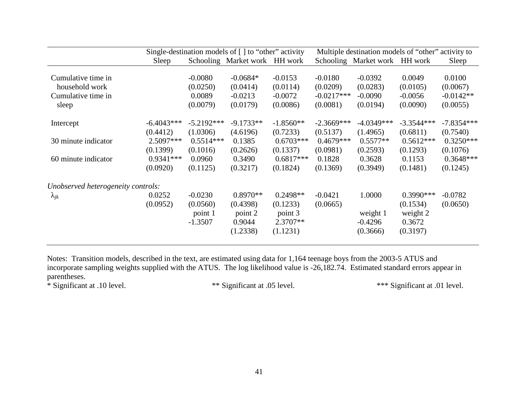|                                    |              |              | Single-destination models of $\lceil \cdot \rceil$ to "other" activity |             |              | Multiple destination models of "other" activity to |              |              |
|------------------------------------|--------------|--------------|------------------------------------------------------------------------|-------------|--------------|----------------------------------------------------|--------------|--------------|
|                                    | Sleep        |              | Schooling Market work HH work                                          |             |              | Schooling Market work HH work                      |              | Sleep        |
| Cumulative time in                 |              | $-0.0080$    | $-0.0684*$                                                             | $-0.0153$   | $-0.0180$    | $-0.0392$                                          | 0.0049       | 0.0100       |
| household work                     |              | (0.0250)     | (0.0414)                                                               | (0.0114)    | (0.0209)     | (0.0283)                                           | (0.0105)     | (0.0067)     |
| Cumulative time in                 |              | 0.0089       | $-0.0213$                                                              | $-0.0072$   | $-0.0217***$ | $-0.0090$                                          | $-0.0056$    | $-0.0142**$  |
| sleep                              |              | (0.0079)     | (0.0179)                                                               | (0.0086)    | (0.0081)     | (0.0194)                                           | (0.0090)     | (0.0055)     |
| Intercept                          | $-6.4043***$ | $-5.2192***$ | $-9.1733**$                                                            | $-1.8560**$ | $-2.3669***$ | $-4.0349***$                                       | $-3.3544***$ | $-7.8354***$ |
|                                    | (0.4412)     | (1.0306)     | (4.6196)                                                               | (0.7233)    | (0.5137)     | (1.4965)                                           | (0.6811)     | (0.7540)     |
| 30 minute indicator                | $2.5097***$  | $0.5514***$  | 0.1385                                                                 | $0.6703***$ | $0.4679***$  | $0.5577**$                                         | $0.5612***$  | $0.3250***$  |
|                                    | (0.1399)     | (0.1016)     | (0.2626)                                                               | (0.1337)    | (0.0981)     | (0.2593)                                           | (0.1293)     | (0.1076)     |
| 60 minute indicator                | $0.9341***$  | 0.0960       | 0.3490                                                                 | $0.6817***$ | 0.1828       | 0.3628                                             | 0.1153       | $0.3648***$  |
|                                    | (0.0920)     | (0.1125)     | (0.3217)                                                               | (0.1824)    | (0.1369)     | (0.3949)                                           | (0.1481)     | (0.1245)     |
| Unobserved heterogeneity controls: |              |              |                                                                        |             |              |                                                    |              |              |
| $\lambda_{jk}$                     | 0.0252       | $-0.0230$    | $0.8970**$                                                             | $0.2498**$  | $-0.0421$    | 1.0000                                             | $0.3990***$  | $-0.0782$    |
|                                    | (0.0952)     | (0.0560)     | (0.4398)                                                               | (0.1233)    | (0.0665)     |                                                    | (0.1534)     | (0.0650)     |
|                                    |              | point 1      | point 2                                                                | point 3     |              | weight 1                                           | weight 2     |              |
|                                    |              | $-1.3507$    | 0.9044                                                                 | $2.3707**$  |              | $-0.4296$                                          | 0.3672       |              |
|                                    |              |              | (1.2338)                                                               | (1.1231)    |              | (0.3666)                                           | (0.3197)     |              |
|                                    |              |              |                                                                        |             |              |                                                    |              |              |

Notes: Transition models, described in the text, are estimated using data for 1,164 teenage boys from the 2003-5 ATUS and incorporate sampling weights supplied with the ATUS. The log likelihood value is -26,182.74. Estimated standard errors appear in parentheses.

\* Significant at .10 level.

\* Significant at .10 level. \*\* Significant at .05 level. \*\*\* Significant at .01 level.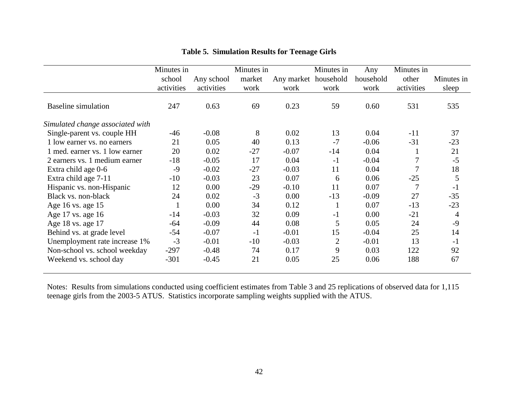|                                  | Minutes in |            | Minutes in |                      | Minutes in     | Any       | Minutes in |            |
|----------------------------------|------------|------------|------------|----------------------|----------------|-----------|------------|------------|
|                                  | school     | Any school | market     | Any market household |                | household | other      | Minutes in |
|                                  | activities | activities | work       | work                 | work           | work      | activities | sleep      |
| <b>Baseline simulation</b>       | 247        | 0.63       | 69         | 0.23                 | 59             | 0.60      | 531        | 535        |
| Simulated change associated with |            |            |            |                      |                |           |            |            |
| Single-parent vs. couple HH      | $-46$      | $-0.08$    | 8          | 0.02                 | 13             | 0.04      | $-11$      | 37         |
| 1 low earner vs. no earners      | 21         | 0.05       | 40         | 0.13                 | $-7$           | $-0.06$   | $-31$      | $-23$      |
| 1 med. earner vs. 1 low earner   | 20         | 0.02       | $-27$      | $-0.07$              | $-14$          | 0.04      |            | 21         |
| 2 earners vs. 1 medium earner    | $-18$      | $-0.05$    | 17         | 0.04                 | $-1$           | $-0.04$   |            | $-5$       |
| Extra child age 0-6              | $-9$       | $-0.02$    | $-27$      | $-0.03$              | 11             | 0.04      |            | 18         |
| Extra child age 7-11             | $-10$      | $-0.03$    | 23         | 0.07                 | 6              | 0.06      | $-25$      | 5          |
| Hispanic vs. non-Hispanic        | 12         | 0.00       | $-29$      | $-0.10$              | 11             | 0.07      | 7          | $-1$       |
| Black vs. non-black              | 24         | 0.02       | $-3$       | 0.00                 | $-13$          | $-0.09$   | 27         | $-35$      |
| Age 16 vs. age 15                |            | 0.00       | 34         | 0.12                 |                | 0.07      | $-13$      | $-23$      |
| Age 17 vs. age 16                | $-14$      | $-0.03$    | 32         | 0.09                 | $-1$           | 0.00      | $-21$      | 4          |
| Age 18 vs. age 17                | $-64$      | $-0.09$    | 44         | 0.08                 | 5              | 0.05      | 24         | $-9$       |
| Behind vs. at grade level        | $-54$      | $-0.07$    | $-1$       | $-0.01$              | 15             | $-0.04$   | 25         | 14         |
| Unemployment rate increase 1%    | $-3$       | $-0.01$    | $-10$      | $-0.03$              | $\overline{2}$ | $-0.01$   | 13         | $-1$       |
| Non-school vs. school weekday    | $-297$     | $-0.48$    | 74         | 0.17                 | 9              | 0.03      | 122        | 92         |
| Weekend vs. school day           | $-301$     | $-0.45$    | 21         | 0.05                 | 25             | 0.06      | 188        | 67         |
|                                  |            |            |            |                      |                |           |            |            |

## **Table 5. Simulation Results for Teenage Girls**

Notes: Results from simulations conducted using coefficient estimates from Table 3 and 25 replications of observed data for 1,115<br>teenage girls from the 2003-5 ATUS. Statistics incorporate sampling weights supplied with th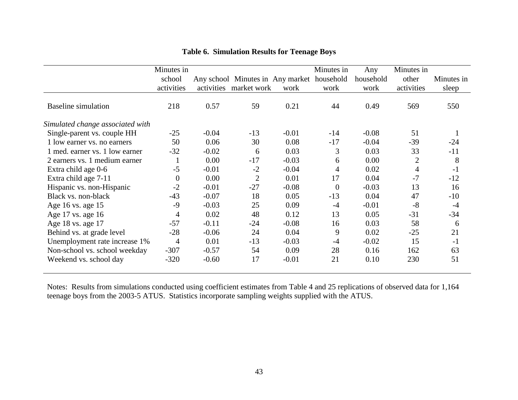|                                  | Minutes in     |            |                                            |         | Minutes in | Any       | Minutes in     |            |
|----------------------------------|----------------|------------|--------------------------------------------|---------|------------|-----------|----------------|------------|
|                                  | school         |            | Any school Minutes in Any market household |         |            | household | other          | Minutes in |
|                                  | activities     | activities | market work                                | work    | work       | work      | activities     | sleep      |
| <b>Baseline simulation</b>       | 218            | 0.57       | 59                                         | 0.21    | 44         | 0.49      | 569            | 550        |
| Simulated change associated with |                |            |                                            |         |            |           |                |            |
| Single-parent vs. couple HH      | $-25$          | $-0.04$    | $-13$                                      | $-0.01$ | $-14$      | $-0.08$   | 51             |            |
| 1 low earner vs. no earners      | 50             | 0.06       | 30                                         | 0.08    | $-17$      | $-0.04$   | $-39$          | $-24$      |
| 1 med. earner vs. 1 low earner   | $-32$          | $-0.02$    | 6                                          | 0.03    | 3          | 0.03      | 33             | $-11$      |
| 2 earners vs. 1 medium earner    | 1              | 0.00       | $-17$                                      | $-0.03$ | 6          | 0.00      | $\overline{2}$ | 8          |
| Extra child age 0-6              | $-5$           | $-0.01$    | $-2$                                       | $-0.04$ | 4          | 0.02      | 4              | $-1$       |
| Extra child age 7-11             | $\overline{0}$ | 0.00       | $\overline{2}$                             | 0.01    | 17         | 0.04      | $-7$           | $-12$      |
| Hispanic vs. non-Hispanic        | $-2$           | $-0.01$    | $-27$                                      | $-0.08$ | $\theta$   | $-0.03$   | 13             | 16         |
| Black vs. non-black              | $-43$          | $-0.07$    | 18                                         | 0.05    | $-13$      | 0.04      | 47             | $-10$      |
| Age 16 vs. age 15                | $-9$           | $-0.03$    | 25                                         | 0.09    | $-4$       | $-0.01$   | $-8$           | $-4$       |
| Age 17 vs. age 16                | 4              | 0.02       | 48                                         | 0.12    | 13         | 0.05      | $-31$          | $-34$      |
| Age 18 vs. age 17                | $-57$          | $-0.11$    | $-24$                                      | $-0.08$ | 16         | 0.03      | 58             | 6          |
| Behind vs. at grade level        | $-28$          | $-0.06$    | 24                                         | 0.04    | 9          | 0.02      | $-25$          | 21         |
| Unemployment rate increase 1%    | 4              | 0.01       | $-13$                                      | $-0.03$ | $-4$       | $-0.02$   | 15             | $-1$       |
| Non-school vs. school weekday    | $-307$         | $-0.57$    | 54                                         | 0.09    | 28         | 0.16      | 162            | 63         |
| Weekend vs. school day           | $-320$         | $-0.60$    | 17                                         | $-0.01$ | 21         | 0.10      | 230            | 51         |
|                                  |                |            |                                            |         |            |           |                |            |

## **Table 6. Simulation Results for Teenage Boys**

Notes: Results from simulations conducted using coefficient estimates from Table 4 and 25 replications of observed data for 1,164<br>teenage boys from the 2003-5 ATUS. Statistics incorporate sampling weights supplied with the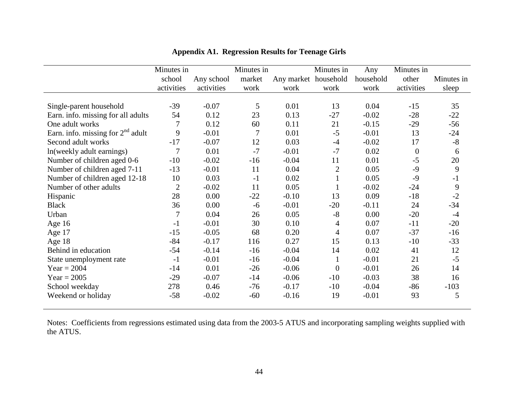|                                     | Minutes in     |            | Minutes in |                      | Minutes in     | Any       | Minutes in |            |
|-------------------------------------|----------------|------------|------------|----------------------|----------------|-----------|------------|------------|
|                                     | school         | Any school | market     | Any market household |                | household | other      | Minutes in |
|                                     | activities     | activities | work       | work                 | work           | work      | activities | sleep      |
|                                     |                |            |            |                      |                |           |            |            |
| Single-parent household             | $-39$          | $-0.07$    | 5          | 0.01                 | 13             | 0.04      | $-15$      | 35         |
| Earn. info. missing for all adults  | 54             | 0.12       | 23         | 0.13                 | $-27$          | $-0.02$   | $-28$      | $-22$      |
| One adult works                     | 7              | 0.12       | 60         | 0.11                 | 21             | $-0.15$   | $-29$      | $-56$      |
| Earn. info. missing for $2nd$ adult | 9              | $-0.01$    | 7          | 0.01                 | $-5$           | $-0.01$   | 13         | $-24$      |
| Second adult works                  | $-17$          | $-0.07$    | 12         | 0.03                 | $-4$           | $-0.02$   | 17         | $-8$       |
| In (weekly adult earnings)          | 7              | 0.01       | $-7$       | $-0.01$              | $-7$           | 0.02      | $\theta$   | 6          |
| Number of children aged 0-6         | $-10$          | $-0.02$    | $-16$      | $-0.04$              | 11             | 0.01      | $-5$       | 20         |
| Number of children aged 7-11        | $-13$          | $-0.01$    | 11         | 0.04                 | $\overline{2}$ | 0.05      | $-9$       | 9          |
| Number of children aged 12-18       | 10             | 0.03       | $-1$       | 0.02                 | $\mathbf{1}$   | 0.05      | $-9$       | $-1$       |
| Number of other adults              | $\overline{2}$ | $-0.02$    | 11         | 0.05                 |                | $-0.02$   | $-24$      | 9          |
| Hispanic                            | 28             | 0.00       | $-22$      | $-0.10$              | 13             | 0.09      | $-18$      | $-2$       |
| <b>Black</b>                        | 36             | 0.00       | $-6$       | $-0.01$              | $-20$          | $-0.11$   | 24         | $-34$      |
| Urban                               | $\overline{7}$ | 0.04       | 26         | 0.05                 | $-8$           | 0.00      | $-20$      | $-4$       |
| Age 16                              | $-1$           | $-0.01$    | 30         | 0.10                 | 4              | 0.07      | $-11$      | $-20$      |
| Age 17                              | $-15$          | $-0.05$    | 68         | 0.20                 | $\overline{4}$ | 0.07      | $-37$      | $-16$      |
| Age $18$                            | $-84$          | $-0.17$    | 116        | 0.27                 | 15             | 0.13      | $-10$      | $-33$      |
| Behind in education                 | $-54$          | $-0.14$    | $-16$      | $-0.04$              | 14             | 0.02      | 41         | 12         |
| State unemployment rate             | $-1$           | $-0.01$    | $-16$      | $-0.04$              | $\mathbf{1}$   | $-0.01$   | 21         | $-5$       |
| Year = $2004$                       | $-14$          | 0.01       | $-26$      | $-0.06$              | $\overline{0}$ | $-0.01$   | 26         | 14         |
| $Year = 2005$                       | $-29$          | $-0.07$    | $-14$      | $-0.06$              | $-10$          | $-0.03$   | 38         | 16         |
| School weekday                      | 278            | 0.46       | $-76$      | $-0.17$              | $-10$          | $-0.04$   | $-86$      | $-103$     |
| Weekend or holiday                  | $-58$          | $-0.02$    | $-60$      | $-0.16$              | 19             | $-0.01$   | 93         | 5          |

**Appendix A1. Regression Results for Teenage Girls** 

Notes: Coefficients from regressions estimated using data from the 2003-5 ATUS and incorporating sampling weights supplied with the ATUS.